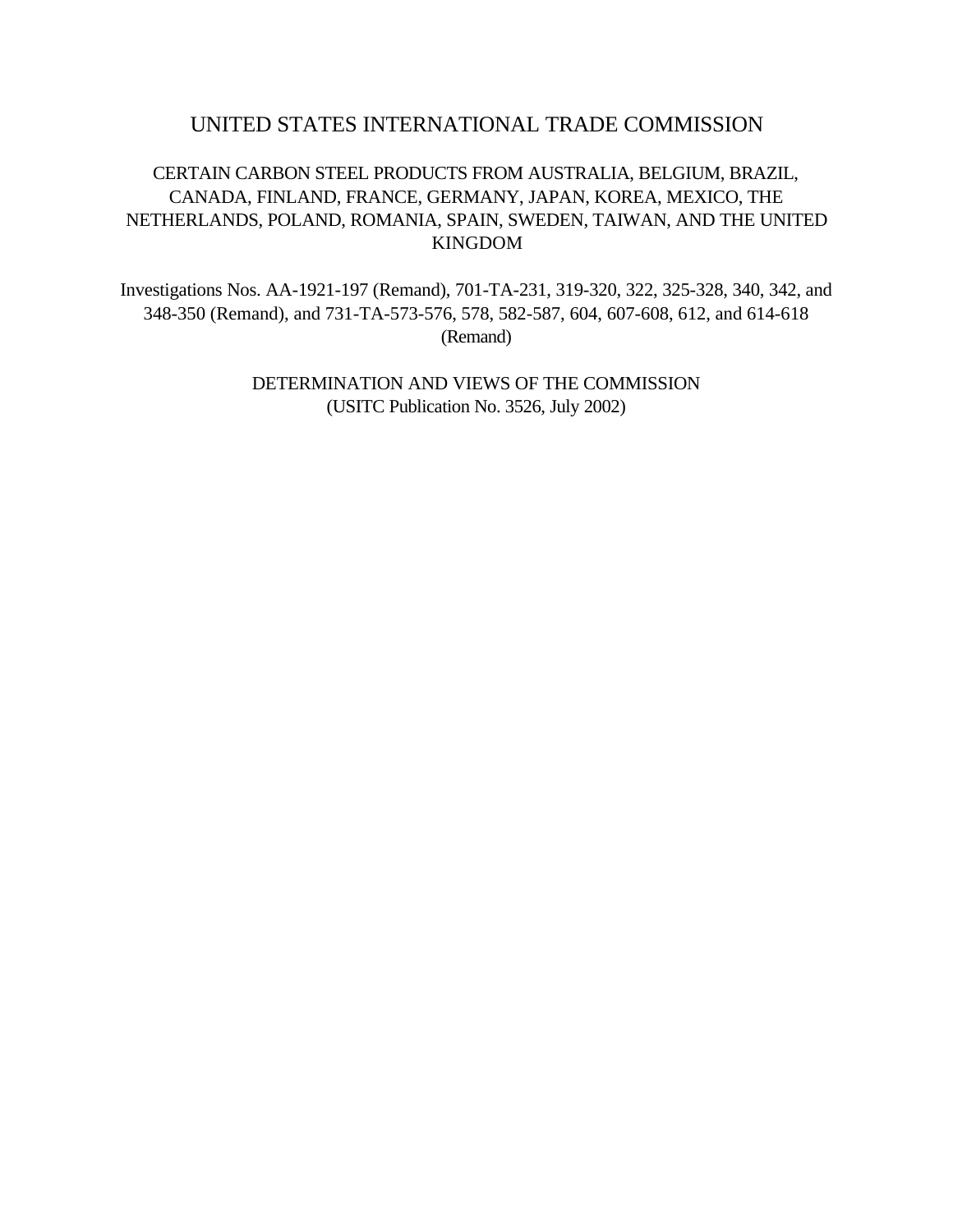# UNITED STATES INTERNATIONAL TRADE COMMISSION

# CERTAIN CARBON STEEL PRODUCTS FROM AUSTRALIA, BELGIUM, BRAZIL, CANADA, FINLAND, FRANCE, GERMANY, JAPAN, KOREA, MEXICO, THE NETHERLANDS, POLAND, ROMANIA, SPAIN, SWEDEN, TAIWAN, AND THE UNITED KINGDOM

Investigations Nos. AA-1921-197 (Remand), 701-TA-231, 319-320, 322, 325-328, 340, 342, and 348-350 (Remand), and 731-TA-573-576, 578, 582-587, 604, 607-608, 612, and 614-618 (Remand)

> DETERMINATION AND VIEWS OF THE COMMISSION (USITC Publication No. 3526, July 2002)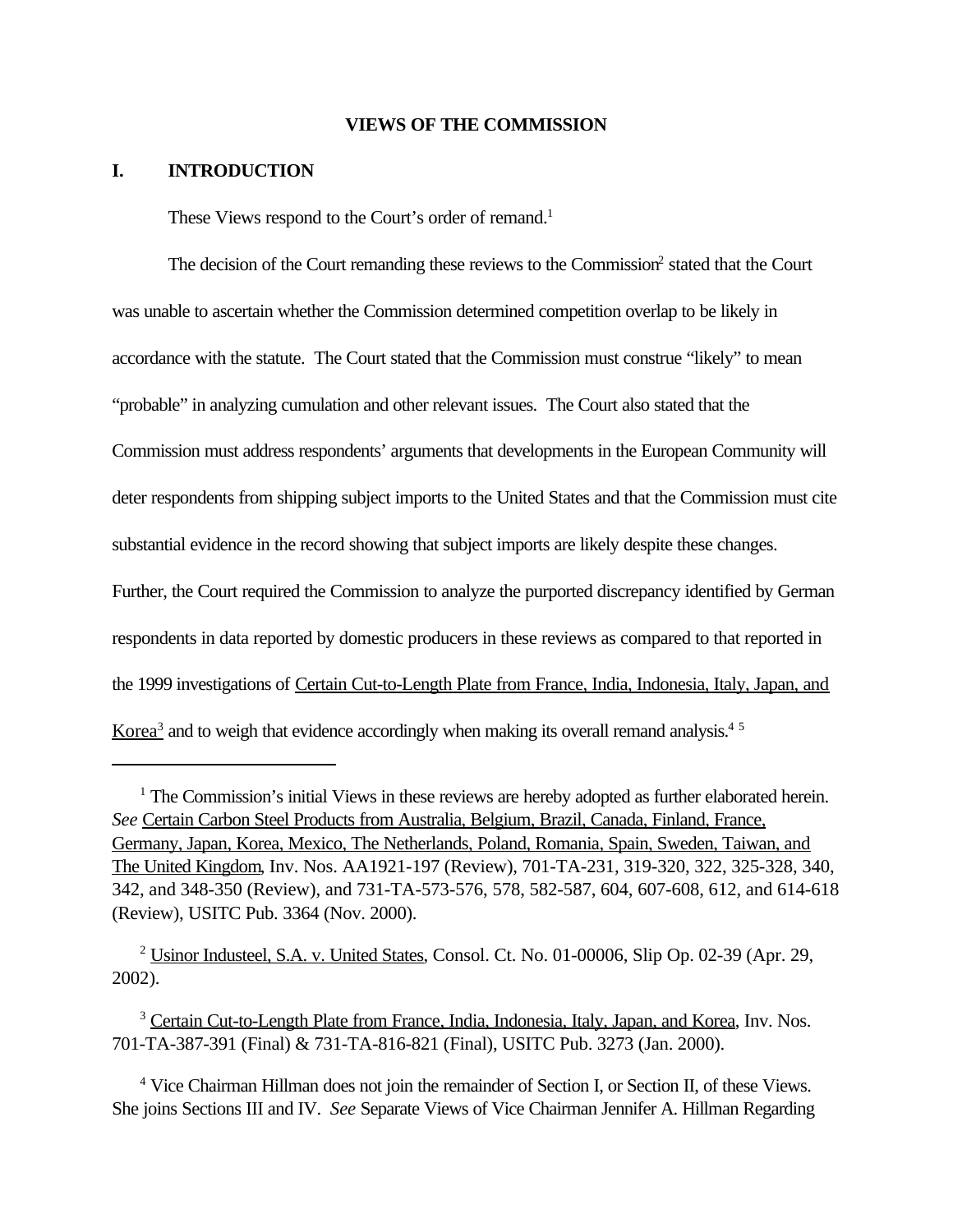#### **VIEWS OF THE COMMISSION**

### **I. INTRODUCTION**

These Views respond to the Court's order of remand.<sup>1</sup>

The decision of the Court remanding these reviews to the Commission<sup>2</sup> stated that the Court was unable to ascertain whether the Commission determined competition overlap to be likely in accordance with the statute. The Court stated that the Commission must construe "likely" to mean "probable" in analyzing cumulation and other relevant issues. The Court also stated that the Commission must address respondents' arguments that developments in the European Community will deter respondents from shipping subject imports to the United States and that the Commission must cite substantial evidence in the record showing that subject imports are likely despite these changes. Further, the Court required the Commission to analyze the purported discrepancy identified by German respondents in data reported by domestic producers in these reviews as compared to that reported in the 1999 investigations of Certain Cut-to-Length Plate from France, India, Indonesia, Italy, Japan, and Korea<sup>3</sup> and to weigh that evidence accordingly when making its overall remand analysis.<sup>45</sup>

<sup>2</sup> Usinor Industeel, S.A. v. United States, Consol. Ct. No. 01-00006, Slip Op. 02-39 (Apr. 29, 2002).

<sup>3</sup> Certain Cut-to-Length Plate from France, India, Indonesia, Italy, Japan, and Korea, Inv. Nos. 701-TA-387-391 (Final) & 731-TA-816-821 (Final), USITC Pub. 3273 (Jan. 2000).

<sup>4</sup> Vice Chairman Hillman does not join the remainder of Section I, or Section II, of these Views. She joins Sections III and IV. *See* Separate Views of Vice Chairman Jennifer A. Hillman Regarding

<sup>&</sup>lt;sup>1</sup> The Commission's initial Views in these reviews are hereby adopted as further elaborated herein. *See* Certain Carbon Steel Products from Australia, Belgium, Brazil, Canada, Finland, France, Germany, Japan, Korea, Mexico, The Netherlands, Poland, Romania, Spain, Sweden, Taiwan, and The United Kingdom, Inv. Nos. AA1921-197 (Review), 701-TA-231, 319-320, 322, 325-328, 340, 342, and 348-350 (Review), and 731-TA-573-576, 578, 582-587, 604, 607-608, 612, and 614-618 (Review), USITC Pub. 3364 (Nov. 2000).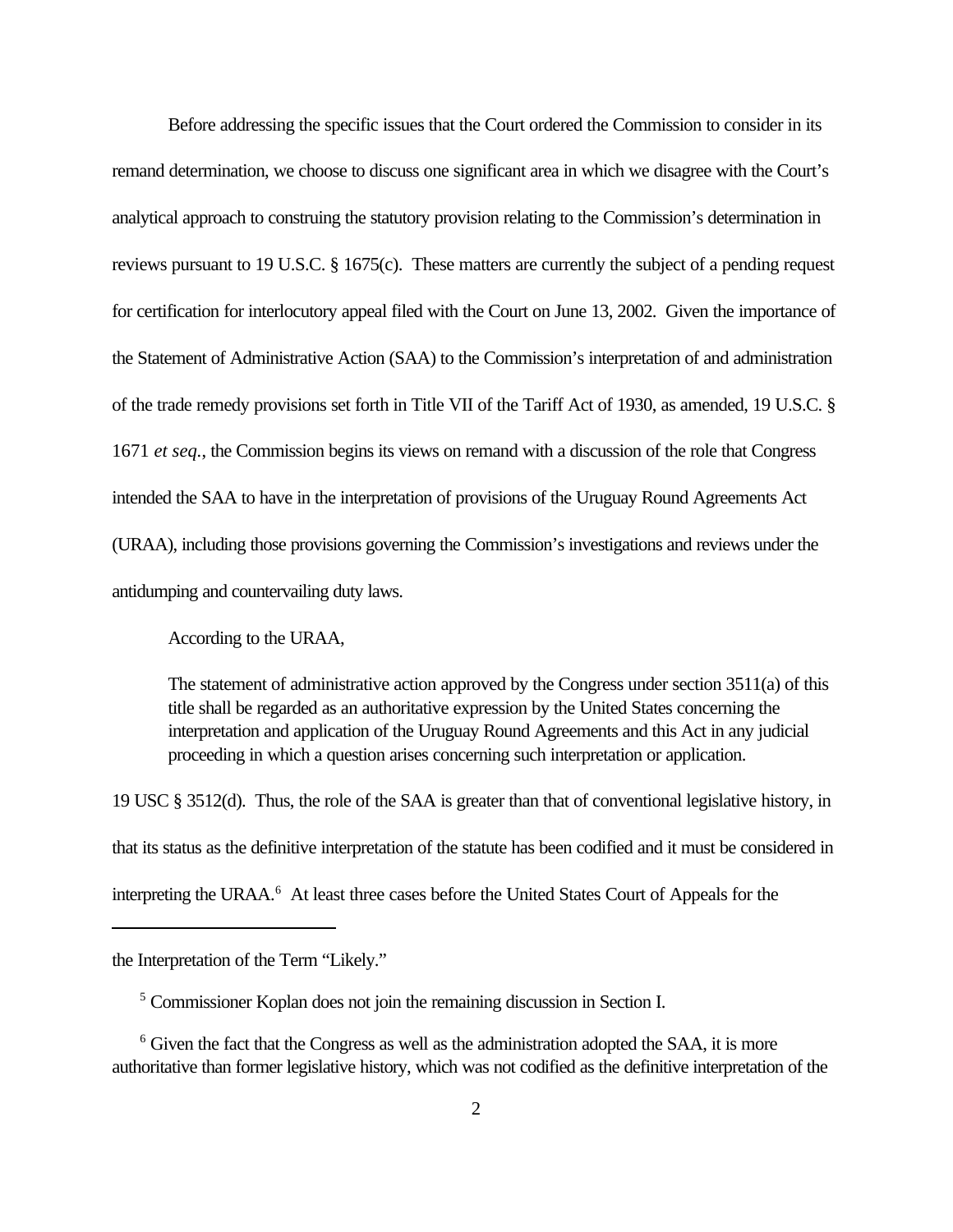Before addressing the specific issues that the Court ordered the Commission to consider in its remand determination, we choose to discuss one significant area in which we disagree with the Court's analytical approach to construing the statutory provision relating to the Commission's determination in reviews pursuant to 19 U.S.C. § 1675(c). These matters are currently the subject of a pending request for certification for interlocutory appeal filed with the Court on June 13, 2002. Given the importance of the Statement of Administrative Action (SAA) to the Commission's interpretation of and administration of the trade remedy provisions set forth in Title VII of the Tariff Act of 1930, as amended, 19 U.S.C. § 1671 *et seq.*, the Commission begins its views on remand with a discussion of the role that Congress intended the SAA to have in the interpretation of provisions of the Uruguay Round Agreements Act (URAA), including those provisions governing the Commission's investigations and reviews under the antidumping and countervailing duty laws.

According to the URAA,

The statement of administrative action approved by the Congress under section 3511(a) of this title shall be regarded as an authoritative expression by the United States concerning the interpretation and application of the Uruguay Round Agreements and this Act in any judicial proceeding in which a question arises concerning such interpretation or application.

19 USC § 3512(d). Thus, the role of the SAA is greater than that of conventional legislative history, in that its status as the definitive interpretation of the statute has been codified and it must be considered in interpreting the URAA.<sup>6</sup> At least three cases before the United States Court of Appeals for the

the Interpretation of the Term "Likely."

<sup>5</sup> Commissioner Koplan does not join the remaining discussion in Section I.

<sup>&</sup>lt;sup>6</sup> Given the fact that the Congress as well as the administration adopted the SAA, it is more authoritative than former legislative history, which was not codified as the definitive interpretation of the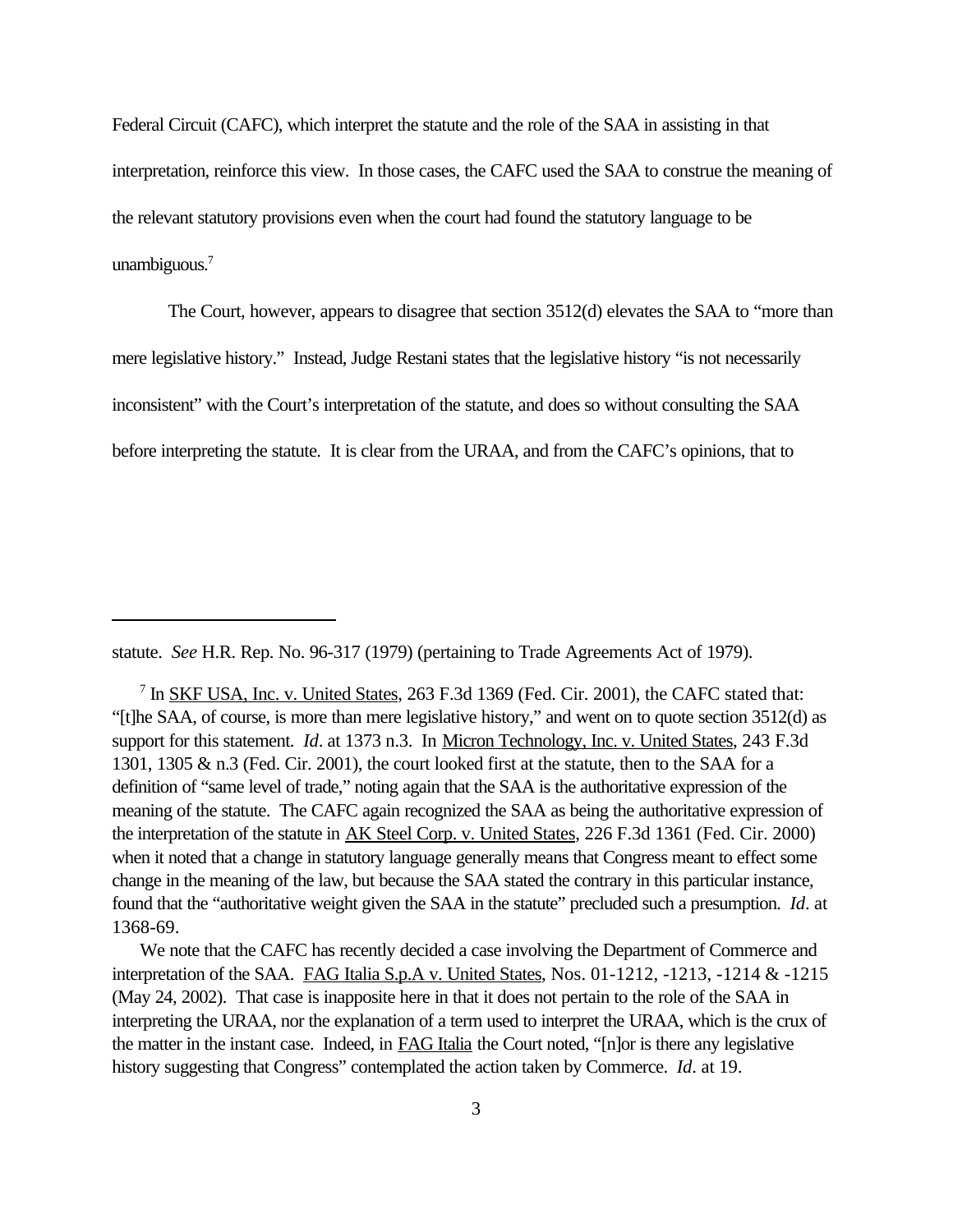Federal Circuit (CAFC), which interpret the statute and the role of the SAA in assisting in that interpretation, reinforce this view. In those cases, the CAFC used the SAA to construe the meaning of the relevant statutory provisions even when the court had found the statutory language to be unambiguous.<sup>7</sup>

The Court, however, appears to disagree that section 3512(d) elevates the SAA to "more than mere legislative history." Instead, Judge Restani states that the legislative history "is not necessarily inconsistent" with the Court's interpretation of the statute, and does so without consulting the SAA before interpreting the statute. It is clear from the URAA, and from the CAFC's opinions, that to

statute. *See* H.R. Rep. No. 96-317 (1979) (pertaining to Trade Agreements Act of 1979).

<sup>7</sup> In <u>SKF USA, Inc. v. United States</u>, 263 F.3d 1369 (Fed. Cir. 2001), the CAFC stated that: "[t]he SAA, of course, is more than mere legislative history," and went on to quote section 3512(d) as support for this statement. *Id*. at 1373 n.3. In Micron Technology, Inc. v. United States, 243 F.3d 1301, 1305 & n.3 (Fed. Cir. 2001), the court looked first at the statute, then to the SAA for a definition of "same level of trade," noting again that the SAA is the authoritative expression of the meaning of the statute. The CAFC again recognized the SAA as being the authoritative expression of the interpretation of the statute in AK Steel Corp. v. United States, 226 F.3d 1361 (Fed. Cir. 2000) when it noted that a change in statutory language generally means that Congress meant to effect some change in the meaning of the law, but because the SAA stated the contrary in this particular instance, found that the "authoritative weight given the SAA in the statute" precluded such a presumption. *Id*. at 1368-69.

We note that the CAFC has recently decided a case involving the Department of Commerce and interpretation of the SAA. FAG Italia S.p.A v. United States, Nos. 01-1212, -1213, -1214 & -1215 (May 24, 2002). That case is inapposite here in that it does not pertain to the role of the SAA in interpreting the URAA, nor the explanation of a term used to interpret the URAA, which is the crux of the matter in the instant case. Indeed, in FAG Italia the Court noted, "[n]or is there any legislative history suggesting that Congress" contemplated the action taken by Commerce. *Id*. at 19.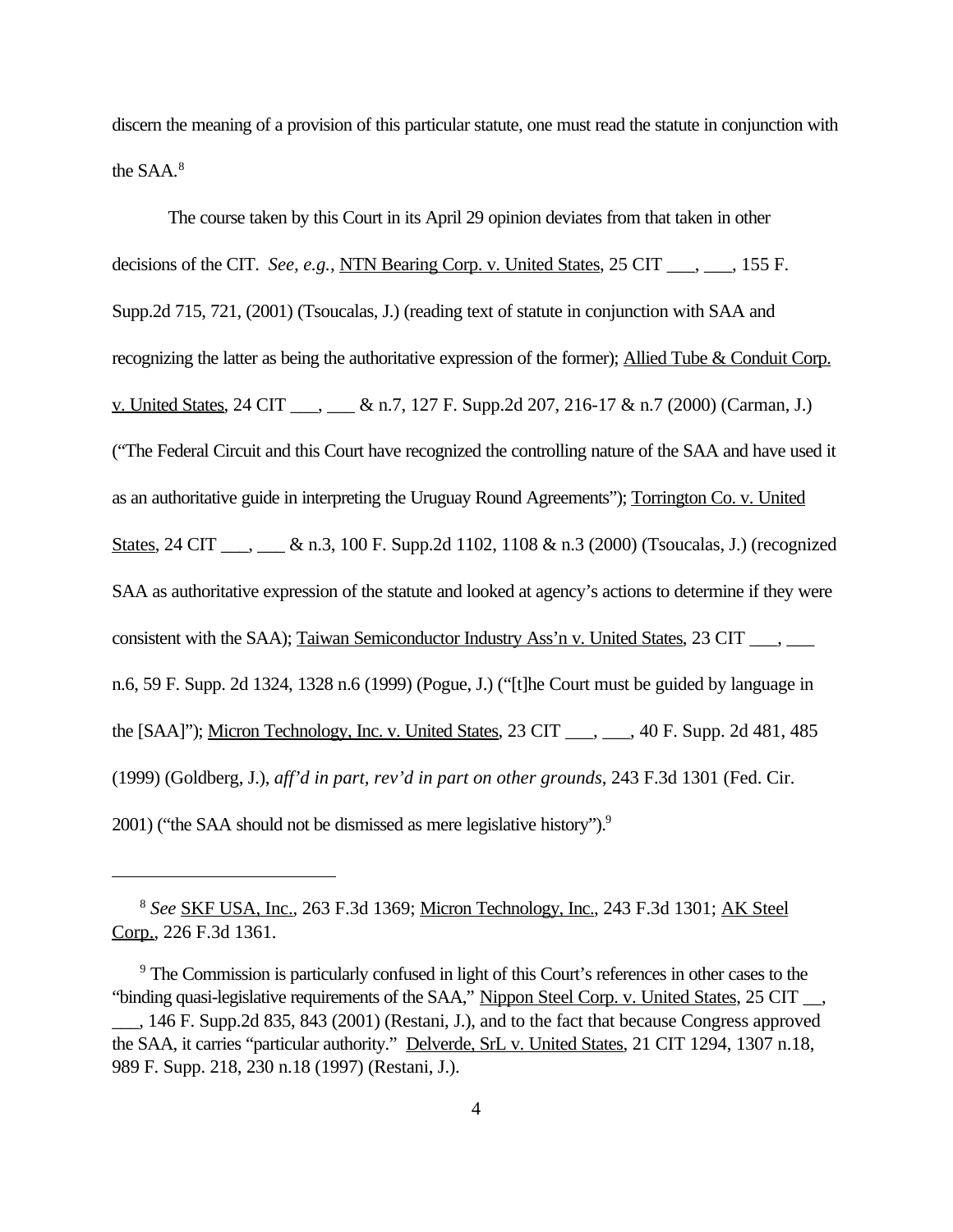discern the meaning of a provision of this particular statute, one must read the statute in conjunction with the SAA.<sup>8</sup>

The course taken by this Court in its April 29 opinion deviates from that taken in other decisions of the CIT. *See, e.g.,* NTN Bearing Corp. v. United States, 25 CIT \_\_\_, \_\_\_, 155 F. Supp.2d 715, 721, (2001) (Tsoucalas, J.) (reading text of statute in conjunction with SAA and recognizing the latter as being the authoritative expression of the former); Allied Tube & Conduit Corp. v. United States, 24 CIT  $\&$  n.7, 127 F. Supp.2d 207, 216-17  $\&$  n.7 (2000) (Carman, J.) ("The Federal Circuit and this Court have recognized the controlling nature of the SAA and have used it as an authoritative guide in interpreting the Uruguay Round Agreements"); Torrington Co. v. United States, 24 CIT \_\_\_, \_\_\_ & n.3, 100 F. Supp.2d 1102, 1108 & n.3 (2000) (Tsoucalas, J.) (recognized SAA as authoritative expression of the statute and looked at agency's actions to determine if they were consistent with the SAA); Taiwan Semiconductor Industry Ass'n v. United States, 23 CIT \_\_\_, \_\_\_ n.6, 59 F. Supp. 2d 1324, 1328 n.6 (1999) (Pogue, J.) ("[t]he Court must be guided by language in the [SAA]"); Micron Technology, Inc. v. United States, 23 CIT \_\_\_, \_\_\_, 40 F. Supp. 2d 481, 485 (1999) (Goldberg, J.), *aff'd in part, rev'd in part on other grounds*, 243 F.3d 1301 (Fed. Cir. 2001) ("the SAA should not be dismissed as mere legislative history").<sup>9</sup>

<sup>8</sup> *See* SKF USA, Inc., 263 F.3d 1369; Micron Technology, Inc., 243 F.3d 1301; AK Steel Corp., 226 F.3d 1361.

<sup>&</sup>lt;sup>9</sup> The Commission is particularly confused in light of this Court's references in other cases to the "binding quasi-legislative requirements of the SAA," Nippon Steel Corp. v. United States, 25 CIT \_\_,

\_\_\_, 146 F. Supp.2d 835, 843 (2001) (Restani, J.), and to the fact that because Congress approved the SAA, it carries "particular authority." Delverde, SrL v. United States, 21 CIT 1294, 1307 n.18, 989 F. Supp. 218, 230 n.18 (1997) (Restani, J.).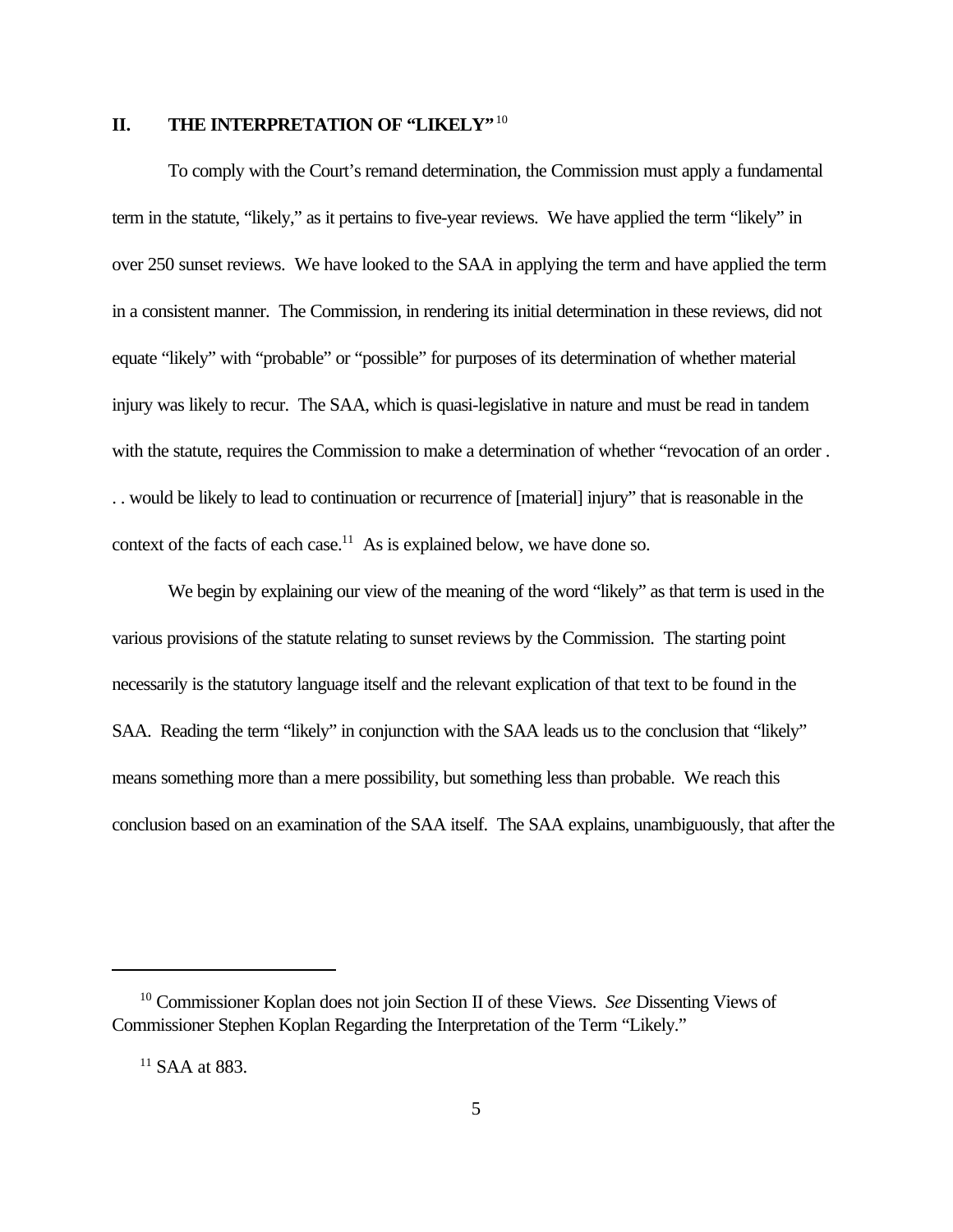## **II. THE INTERPRETATION OF "LIKELY"**<sup>10</sup>

To comply with the Court's remand determination, the Commission must apply a fundamental term in the statute, "likely," as it pertains to five-year reviews. We have applied the term "likely" in over 250 sunset reviews. We have looked to the SAA in applying the term and have applied the term in a consistent manner. The Commission, in rendering its initial determination in these reviews, did not equate "likely" with "probable" or "possible" for purposes of its determination of whether material injury was likely to recur. The SAA, which is quasi-legislative in nature and must be read in tandem with the statute, requires the Commission to make a determination of whether "revocation of an order. . . would be likely to lead to continuation or recurrence of [material] injury" that is reasonable in the context of the facts of each case.<sup>11</sup> As is explained below, we have done so.

We begin by explaining our view of the meaning of the word "likely" as that term is used in the various provisions of the statute relating to sunset reviews by the Commission. The starting point necessarily is the statutory language itself and the relevant explication of that text to be found in the SAA. Reading the term "likely" in conjunction with the SAA leads us to the conclusion that "likely" means something more than a mere possibility, but something less than probable. We reach this conclusion based on an examination of the SAA itself. The SAA explains, unambiguously, that after the

<sup>10</sup> Commissioner Koplan does not join Section II of these Views. *See* Dissenting Views of Commissioner Stephen Koplan Regarding the Interpretation of the Term "Likely."

 $11$  SAA at 883.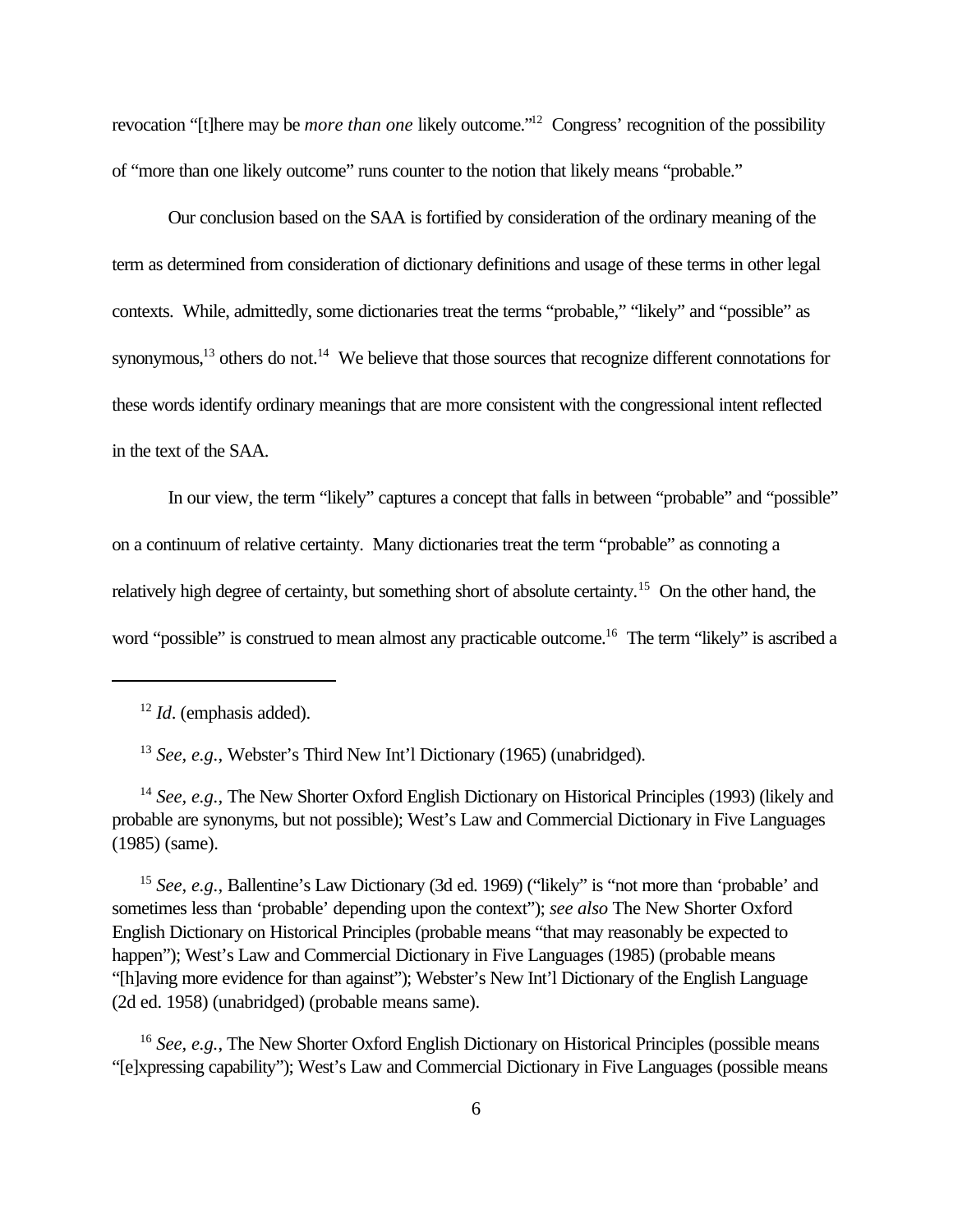revocation "[t]here may be *more than one* likely outcome."<sup>12</sup> Congress' recognition of the possibility of "more than one likely outcome" runs counter to the notion that likely means "probable."

Our conclusion based on the SAA is fortified by consideration of the ordinary meaning of the term as determined from consideration of dictionary definitions and usage of these terms in other legal contexts. While, admittedly, some dictionaries treat the terms "probable," "likely" and "possible" as synonymous,<sup>13</sup> others do not.<sup>14</sup> We believe that those sources that recognize different connotations for these words identify ordinary meanings that are more consistent with the congressional intent reflected in the text of the SAA.

In our view, the term "likely" captures a concept that falls in between "probable" and "possible" on a continuum of relative certainty. Many dictionaries treat the term "probable" as connoting a relatively high degree of certainty, but something short of absolute certainty.<sup>15</sup> On the other hand, the word "possible" is construed to mean almost any practicable outcome.<sup>16</sup> The term "likely" is ascribed a

<sup>13</sup> *See, e.g.,* Webster's Third New Int'l Dictionary (1965) (unabridged).

<sup>14</sup> *See, e.g.*, The New Shorter Oxford English Dictionary on Historical Principles (1993) (likely and probable are synonyms, but not possible); West's Law and Commercial Dictionary in Five Languages (1985) (same).

<sup>15</sup> *See, e.g., Ballentine's Law Dictionary (3d ed. 1969) ("likely" is "not more than 'probable' and* sometimes less than 'probable' depending upon the context"); *see also* The New Shorter Oxford English Dictionary on Historical Principles (probable means "that may reasonably be expected to happen"); West's Law and Commercial Dictionary in Five Languages (1985) (probable means "[h]aving more evidence for than against"); Webster's New Int'l Dictionary of the English Language (2d ed. 1958) (unabridged) (probable means same).

<sup>16</sup> *See, e.g.*, The New Shorter Oxford English Dictionary on Historical Principles (possible means "[e]xpressing capability"); West's Law and Commercial Dictionary in Five Languages (possible means

<sup>12</sup> *Id*. (emphasis added).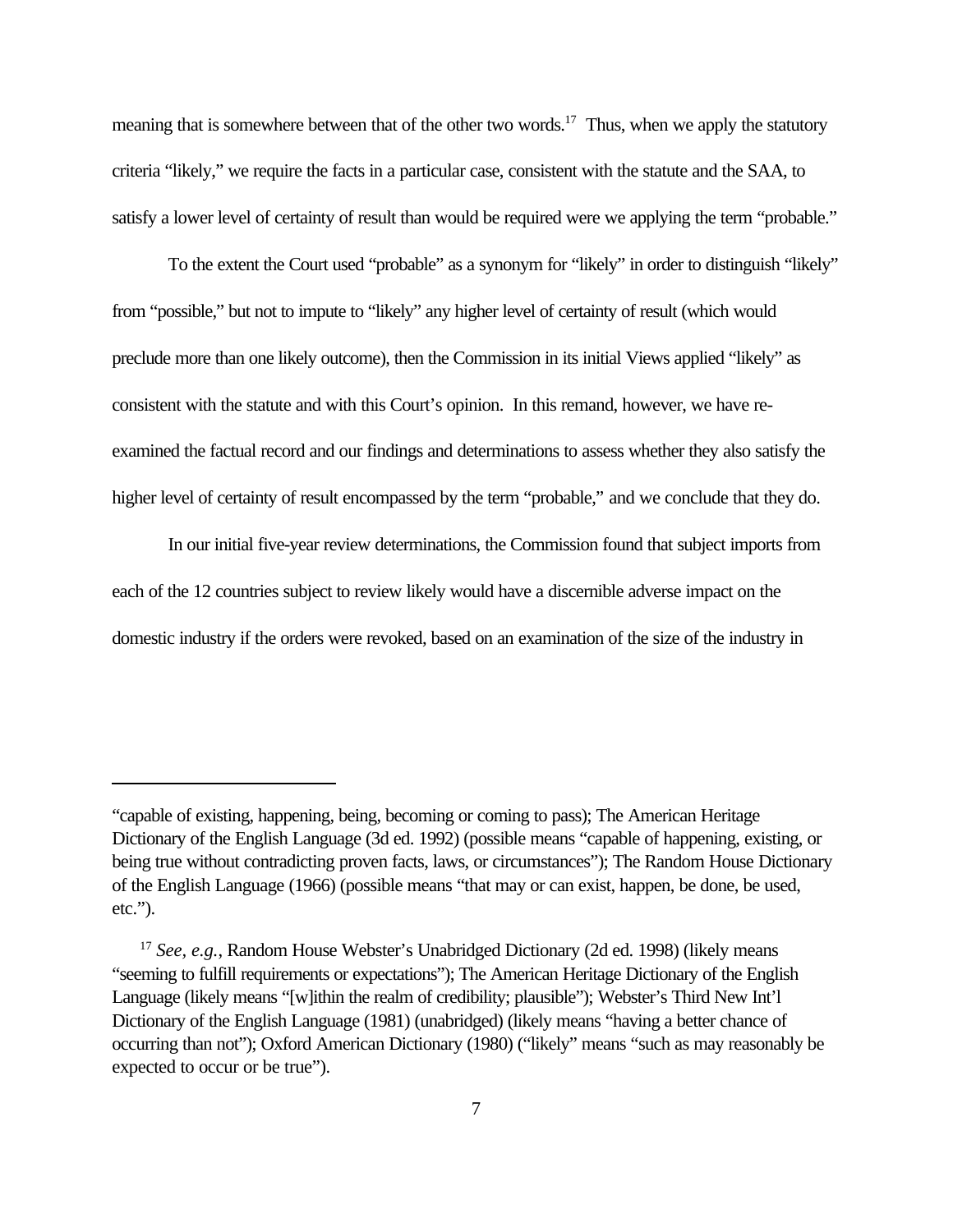meaning that is somewhere between that of the other two words.<sup>17</sup> Thus, when we apply the statutory criteria "likely," we require the facts in a particular case, consistent with the statute and the SAA, to satisfy a lower level of certainty of result than would be required were we applying the term "probable."

To the extent the Court used "probable" as a synonym for "likely" in order to distinguish "likely" from "possible," but not to impute to "likely" any higher level of certainty of result (which would preclude more than one likely outcome), then the Commission in its initial Views applied "likely" as consistent with the statute and with this Court's opinion. In this remand, however, we have reexamined the factual record and our findings and determinations to assess whether they also satisfy the higher level of certainty of result encompassed by the term "probable," and we conclude that they do.

In our initial five-year review determinations, the Commission found that subject imports from each of the 12 countries subject to review likely would have a discernible adverse impact on the domestic industry if the orders were revoked, based on an examination of the size of the industry in

<sup>&</sup>quot;capable of existing, happening, being, becoming or coming to pass); The American Heritage Dictionary of the English Language (3d ed. 1992) (possible means "capable of happening, existing, or being true without contradicting proven facts, laws, or circumstances"); The Random House Dictionary of the English Language (1966) (possible means "that may or can exist, happen, be done, be used, etc.").

<sup>17</sup> *See, e.g.*, Random House Webster's Unabridged Dictionary (2d ed. 1998) (likely means "seeming to fulfill requirements or expectations"); The American Heritage Dictionary of the English Language (likely means "[w]ithin the realm of credibility; plausible"); Webster's Third New Int'l Dictionary of the English Language (1981) (unabridged) (likely means "having a better chance of occurring than not"); Oxford American Dictionary (1980) ("likely" means "such as may reasonably be expected to occur or be true").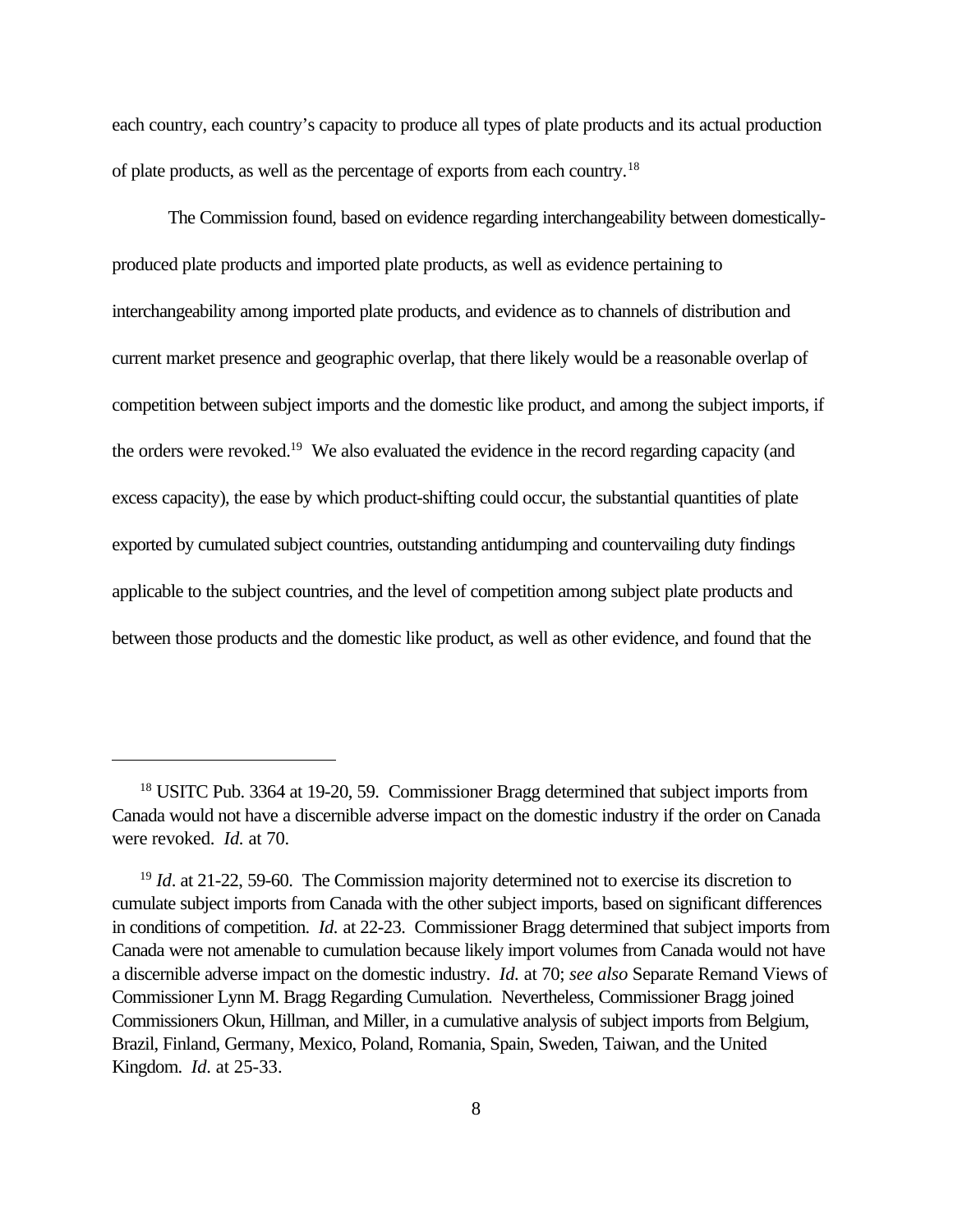each country, each country's capacity to produce all types of plate products and its actual production of plate products, as well as the percentage of exports from each country.<sup>18</sup>

The Commission found, based on evidence regarding interchangeability between domesticallyproduced plate products and imported plate products, as well as evidence pertaining to interchangeability among imported plate products, and evidence as to channels of distribution and current market presence and geographic overlap, that there likely would be a reasonable overlap of competition between subject imports and the domestic like product, and among the subject imports, if the orders were revoked.<sup>19</sup> We also evaluated the evidence in the record regarding capacity (and excess capacity), the ease by which product-shifting could occur, the substantial quantities of plate exported by cumulated subject countries, outstanding antidumping and countervailing duty findings applicable to the subject countries, and the level of competition among subject plate products and between those products and the domestic like product, as well as other evidence, and found that the

<sup>18</sup> USITC Pub. 3364 at 19-20, 59. Commissioner Bragg determined that subject imports from Canada would not have a discernible adverse impact on the domestic industry if the order on Canada were revoked. *Id.* at 70.

<sup>&</sup>lt;sup>19</sup> *Id.* at 21-22, 59-60. The Commission majority determined not to exercise its discretion to cumulate subject imports from Canada with the other subject imports, based on significant differences in conditions of competition. *Id.* at 22-23. Commissioner Bragg determined that subject imports from Canada were not amenable to cumulation because likely import volumes from Canada would not have a discernible adverse impact on the domestic industry. *Id.* at 70; *see also* Separate Remand Views of Commissioner Lynn M. Bragg Regarding Cumulation. Nevertheless, Commissioner Bragg joined Commissioners Okun, Hillman, and Miller, in a cumulative analysis of subject imports from Belgium, Brazil, Finland, Germany, Mexico, Poland, Romania, Spain, Sweden, Taiwan, and the United Kingdom. *Id*. at 25-33.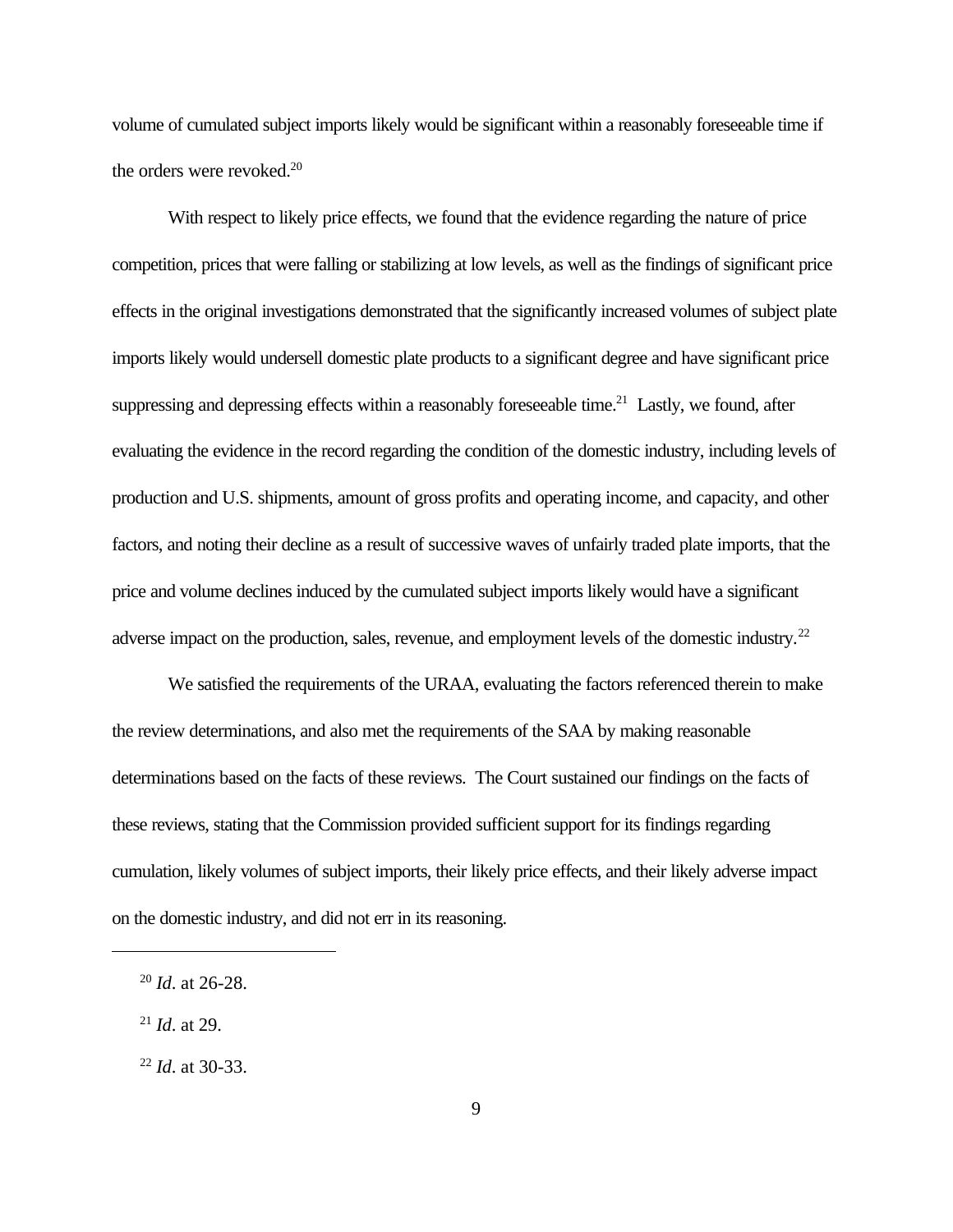volume of cumulated subject imports likely would be significant within a reasonably foreseeable time if the orders were revoked.<sup>20</sup>

With respect to likely price effects, we found that the evidence regarding the nature of price competition, prices that were falling or stabilizing at low levels, as well as the findings of significant price effects in the original investigations demonstrated that the significantly increased volumes of subject plate imports likely would undersell domestic plate products to a significant degree and have significant price suppressing and depressing effects within a reasonably foreseeable time.<sup>21</sup> Lastly, we found, after evaluating the evidence in the record regarding the condition of the domestic industry, including levels of production and U.S. shipments, amount of gross profits and operating income, and capacity, and other factors, and noting their decline as a result of successive waves of unfairly traded plate imports, that the price and volume declines induced by the cumulated subject imports likely would have a significant adverse impact on the production, sales, revenue, and employment levels of the domestic industry.<sup>22</sup>

We satisfied the requirements of the URAA, evaluating the factors referenced therein to make the review determinations, and also met the requirements of the SAA by making reasonable determinations based on the facts of these reviews. The Court sustained our findings on the facts of these reviews, stating that the Commission provided sufficient support for its findings regarding cumulation, likely volumes of subject imports, their likely price effects, and their likely adverse impact on the domestic industry, and did not err in its reasoning.

<sup>21</sup> *Id*. at 29.

<sup>20</sup> *Id*. at 26-28.

<sup>22</sup> *Id*. at 30-33.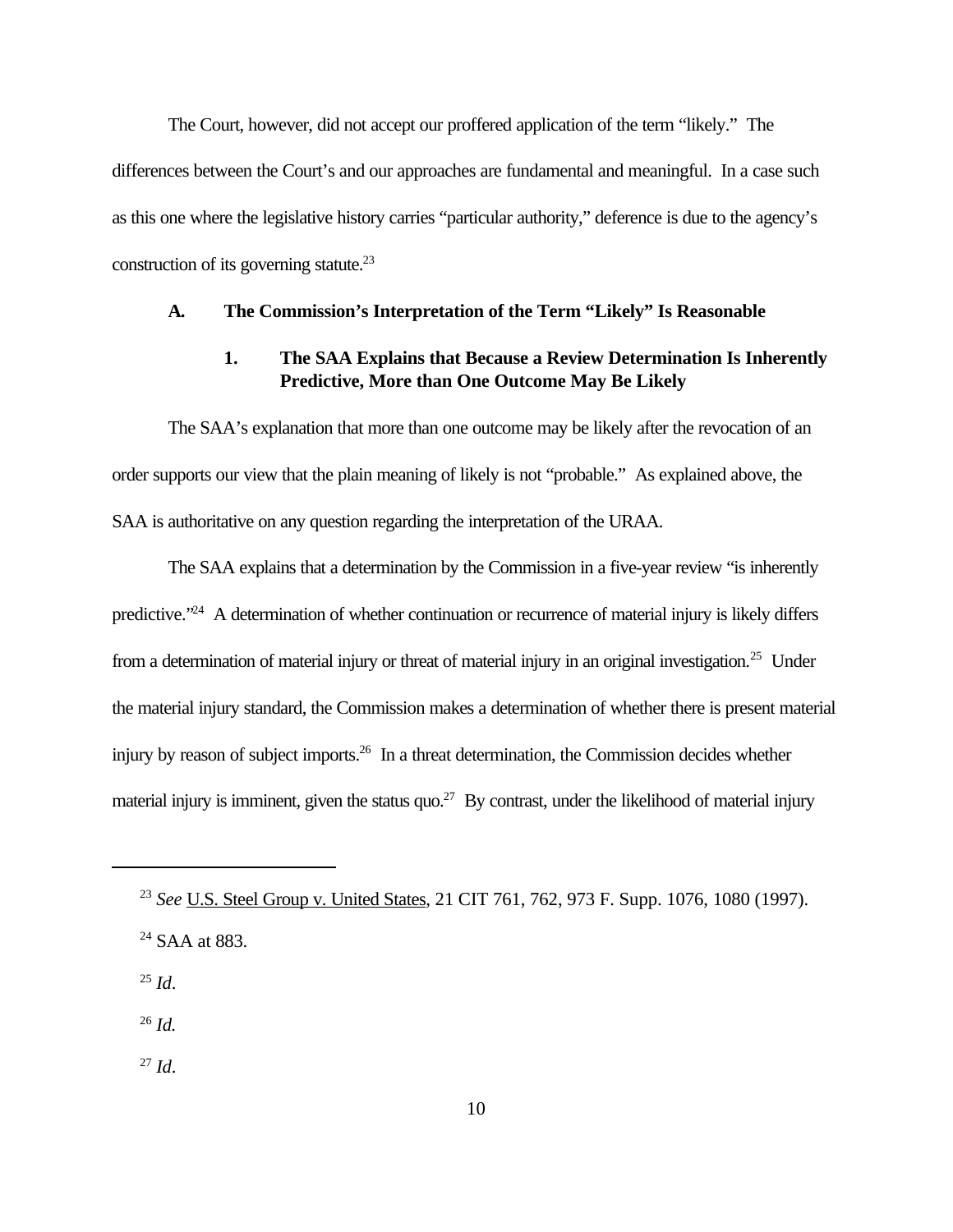The Court, however, did not accept our proffered application of the term "likely." The differences between the Court's and our approaches are fundamental and meaningful. In a case such as this one where the legislative history carries "particular authority," deference is due to the agency's construction of its governing statute. $^{23}$ 

### **A. The Commission's Interpretation of the Term "Likely" Is Reasonable**

## **1. The SAA Explains that Because a Review Determination Is Inherently Predictive, More than One Outcome May Be Likely**

The SAA's explanation that more than one outcome may be likely after the revocation of an order supports our view that the plain meaning of likely is not "probable." As explained above, the SAA is authoritative on any question regarding the interpretation of the URAA.

The SAA explains that a determination by the Commission in a five-year review "is inherently predictive."<sup>24</sup> A determination of whether continuation or recurrence of material injury is likely differs from a determination of material injury or threat of material injury in an original investigation.<sup>25</sup> Under the material injury standard, the Commission makes a determination of whether there is present material injury by reason of subject imports.<sup>26</sup> In a threat determination, the Commission decides whether material injury is imminent, given the status quo.<sup>27</sup> By contrast, under the likelihood of material injury

 $^{25}$  *Id*.

<sup>26</sup> *Id.*

<sup>27</sup> *Id*.

<sup>23</sup> *See* U.S. Steel Group v. United States, 21 CIT 761, 762, 973 F. Supp. 1076, 1080 (1997).

<sup>&</sup>lt;sup>24</sup> SAA at 883.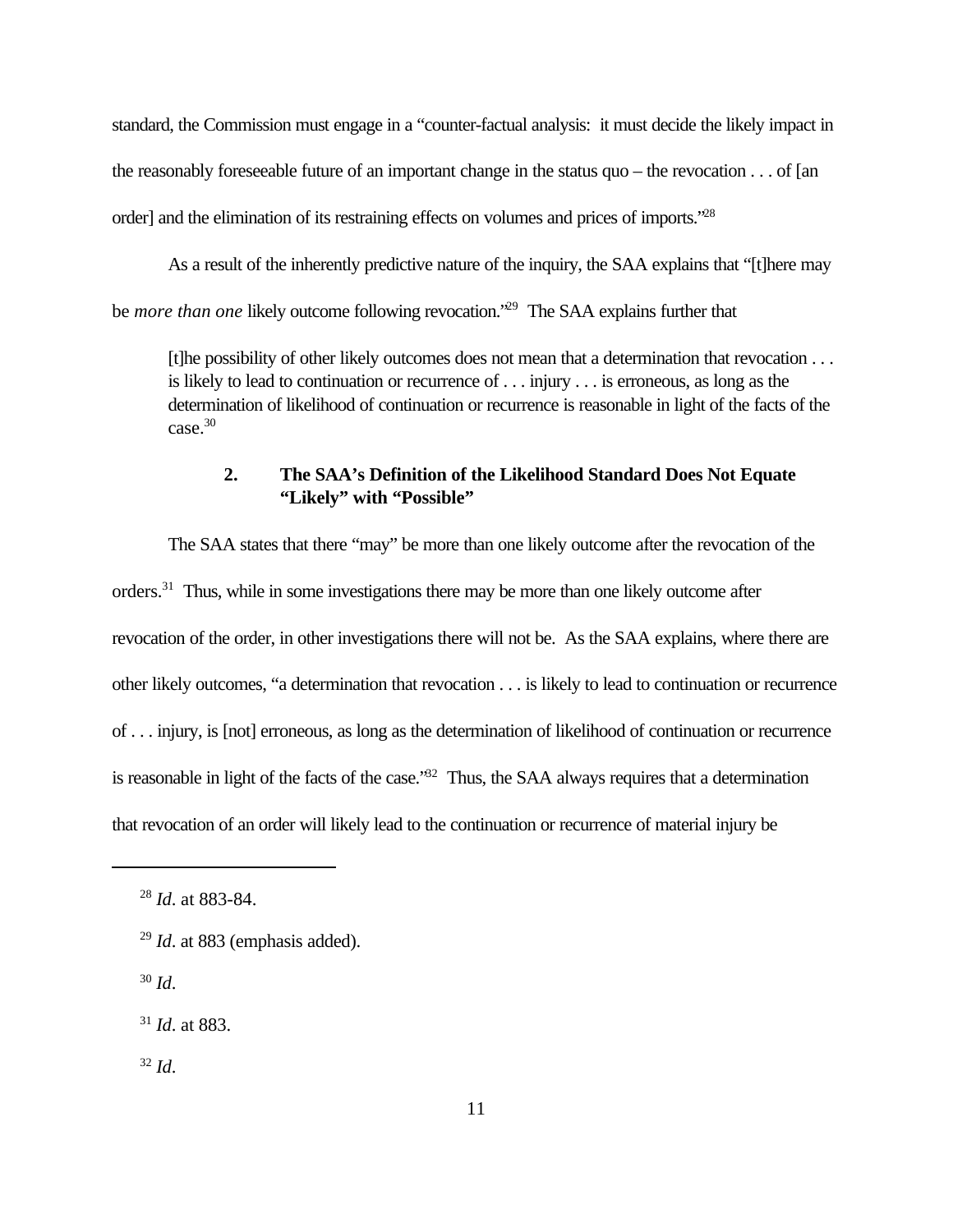standard, the Commission must engage in a "counter-factual analysis: it must decide the likely impact in the reasonably foreseeable future of an important change in the status quo – the revocation . . . of [an order] and the elimination of its restraining effects on volumes and prices of imports."<sup>28</sup>

As a result of the inherently predictive nature of the inquiry, the SAA explains that "[t]here may be *more than one* likely outcome following revocation.<sup>'29</sup> The SAA explains further that

[t]he possibility of other likely outcomes does not mean that a determination that revocation . . . is likely to lead to continuation or recurrence of . . . injury . . . is erroneous, as long as the determination of likelihood of continuation or recurrence is reasonable in light of the facts of the case.<sup>30</sup>

## **2. The SAA's Definition of the Likelihood Standard Does Not Equate "Likely" with "Possible"**

The SAA states that there "may" be more than one likely outcome after the revocation of the orders.<sup>31</sup> Thus, while in some investigations there may be more than one likely outcome after revocation of the order, in other investigations there will not be. As the SAA explains, where there are other likely outcomes, "a determination that revocation . . . is likely to lead to continuation or recurrence of . . . injury, is [not] erroneous, as long as the determination of likelihood of continuation or recurrence is reasonable in light of the facts of the case."<sup>32</sup> Thus, the SAA always requires that a determination that revocation of an order will likely lead to the continuation or recurrence of material injury be

<sup>30</sup> *Id*.

 $32$  *Id.* 

<sup>28</sup> *Id*. at 883-84.

<sup>29</sup> *Id*. at 883 (emphasis added).

<sup>31</sup> *Id*. at 883.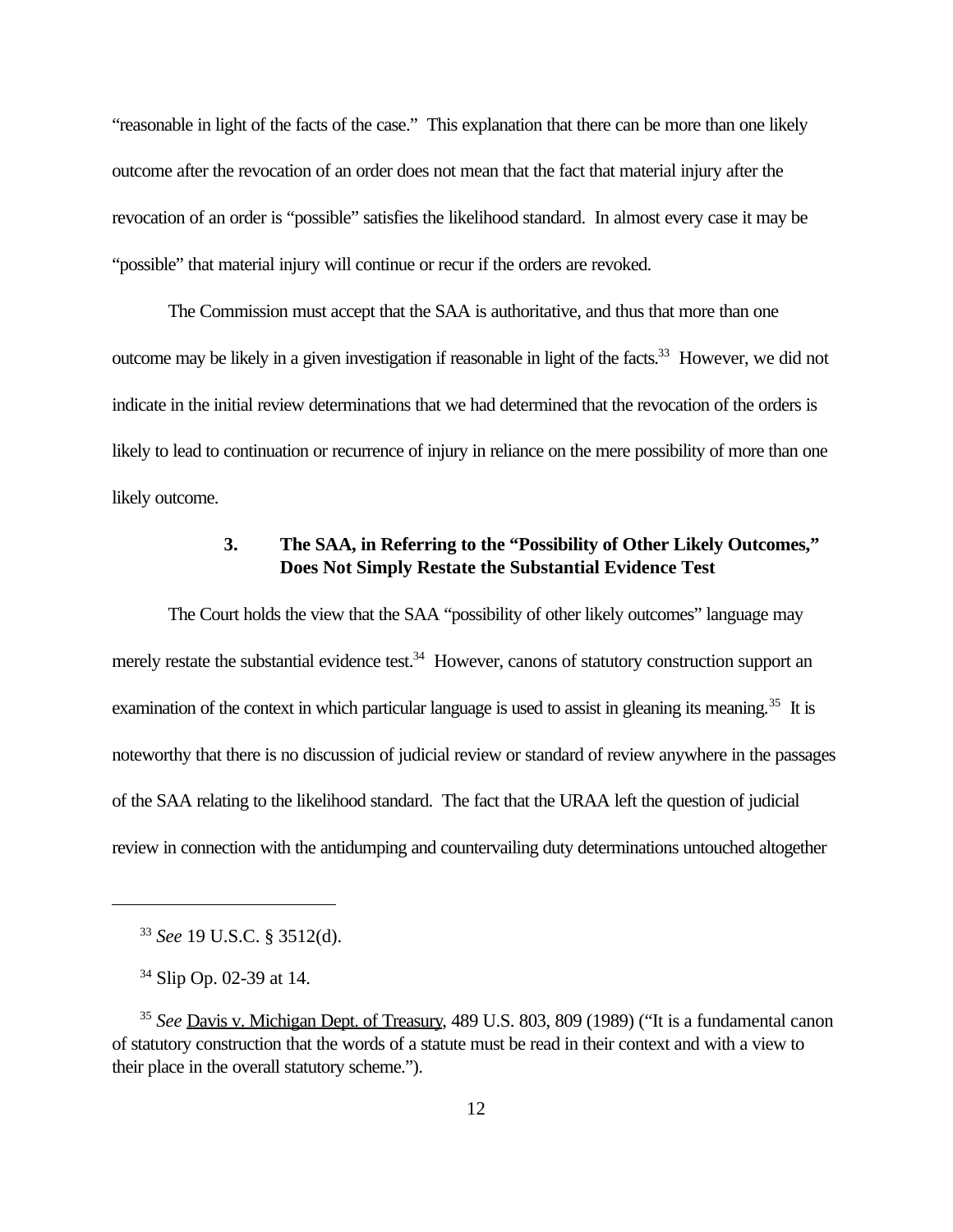"reasonable in light of the facts of the case." This explanation that there can be more than one likely outcome after the revocation of an order does not mean that the fact that material injury after the revocation of an order is "possible" satisfies the likelihood standard. In almost every case it may be "possible" that material injury will continue or recur if the orders are revoked.

The Commission must accept that the SAA is authoritative, and thus that more than one outcome may be likely in a given investigation if reasonable in light of the facts.<sup>33</sup> However, we did not indicate in the initial review determinations that we had determined that the revocation of the orders is likely to lead to continuation or recurrence of injury in reliance on the mere possibility of more than one likely outcome.

## **3. The SAA, in Referring to the "Possibility of Other Likely Outcomes," Does Not Simply Restate the Substantial Evidence Test**

The Court holds the view that the SAA "possibility of other likely outcomes" language may merely restate the substantial evidence test.<sup>34</sup> However, canons of statutory construction support an examination of the context in which particular language is used to assist in gleaning its meaning.<sup>35</sup> It is noteworthy that there is no discussion of judicial review or standard of review anywhere in the passages of the SAA relating to the likelihood standard. The fact that the URAA left the question of judicial review in connection with the antidumping and countervailing duty determinations untouched altogether

<sup>33</sup> *See* 19 U.S.C. § 3512(d).

<sup>&</sup>lt;sup>34</sup> Slip Op. 02-39 at 14.

<sup>35</sup> *See* Davis v. Michigan Dept. of Treasury, 489 U.S. 803, 809 (1989) ("It is a fundamental canon of statutory construction that the words of a statute must be read in their context and with a view to their place in the overall statutory scheme.").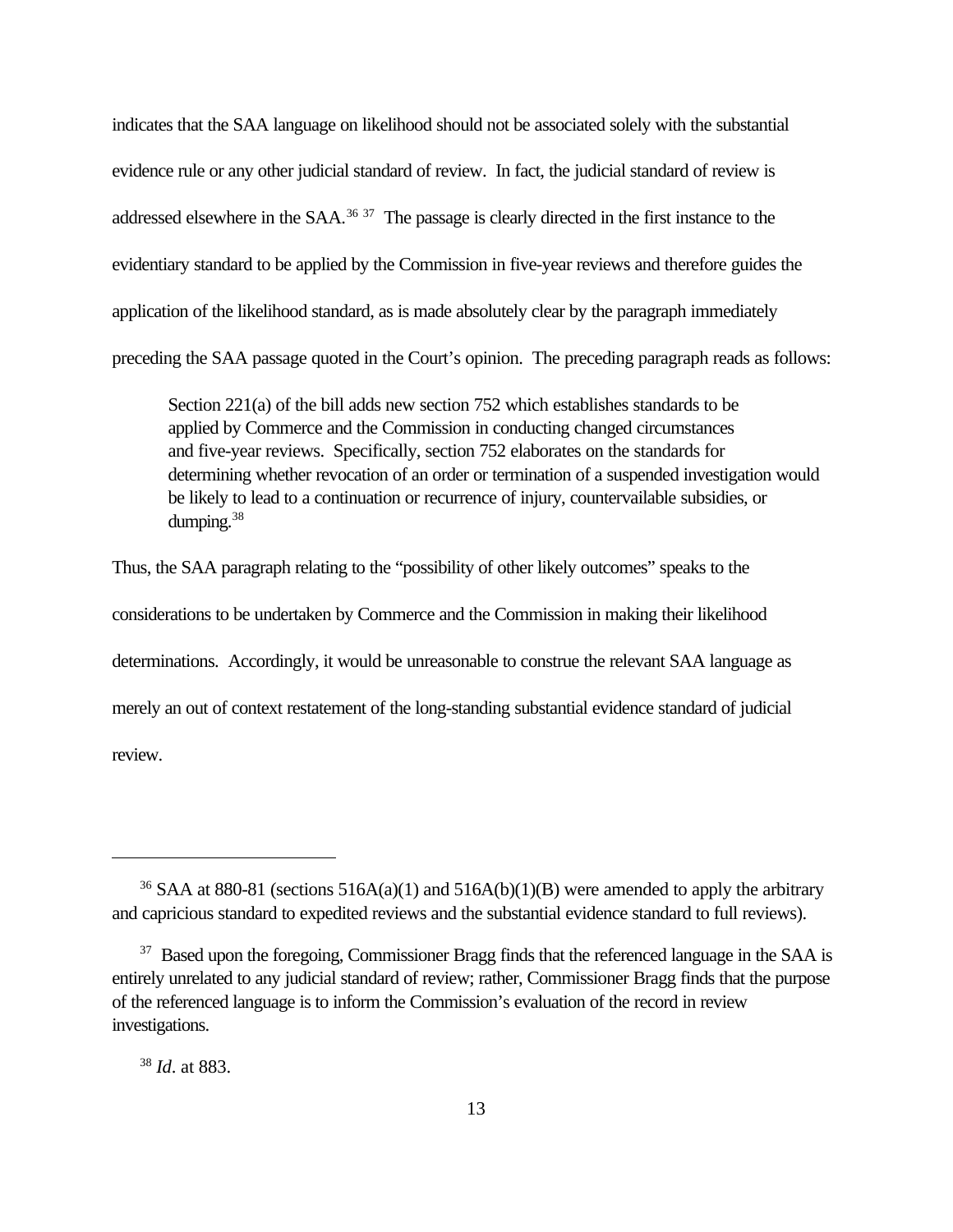indicates that the SAA language on likelihood should not be associated solely with the substantial evidence rule or any other judicial standard of review. In fact, the judicial standard of review is addressed elsewhere in the SAA.<sup>36 37</sup> The passage is clearly directed in the first instance to the evidentiary standard to be applied by the Commission in five-year reviews and therefore guides the application of the likelihood standard, as is made absolutely clear by the paragraph immediately preceding the SAA passage quoted in the Court's opinion. The preceding paragraph reads as follows:

Section 221(a) of the bill adds new section 752 which establishes standards to be applied by Commerce and the Commission in conducting changed circumstances and five-year reviews. Specifically, section 752 elaborates on the standards for determining whether revocation of an order or termination of a suspended investigation would be likely to lead to a continuation or recurrence of injury, countervailable subsidies, or dumping.<sup>38</sup>

Thus, the SAA paragraph relating to the "possibility of other likely outcomes" speaks to the considerations to be undertaken by Commerce and the Commission in making their likelihood determinations. Accordingly, it would be unreasonable to construe the relevant SAA language as merely an out of context restatement of the long-standing substantial evidence standard of judicial review.

<sup>38</sup> *Id*. at 883.

<sup>&</sup>lt;sup>36</sup> SAA at 880-81 (sections 516A(a)(1) and 516A(b)(1)(B) were amended to apply the arbitrary and capricious standard to expedited reviews and the substantial evidence standard to full reviews).

<sup>&</sup>lt;sup>37</sup> Based upon the foregoing, Commissioner Bragg finds that the referenced language in the SAA is entirely unrelated to any judicial standard of review; rather, Commissioner Bragg finds that the purpose of the referenced language is to inform the Commission's evaluation of the record in review investigations.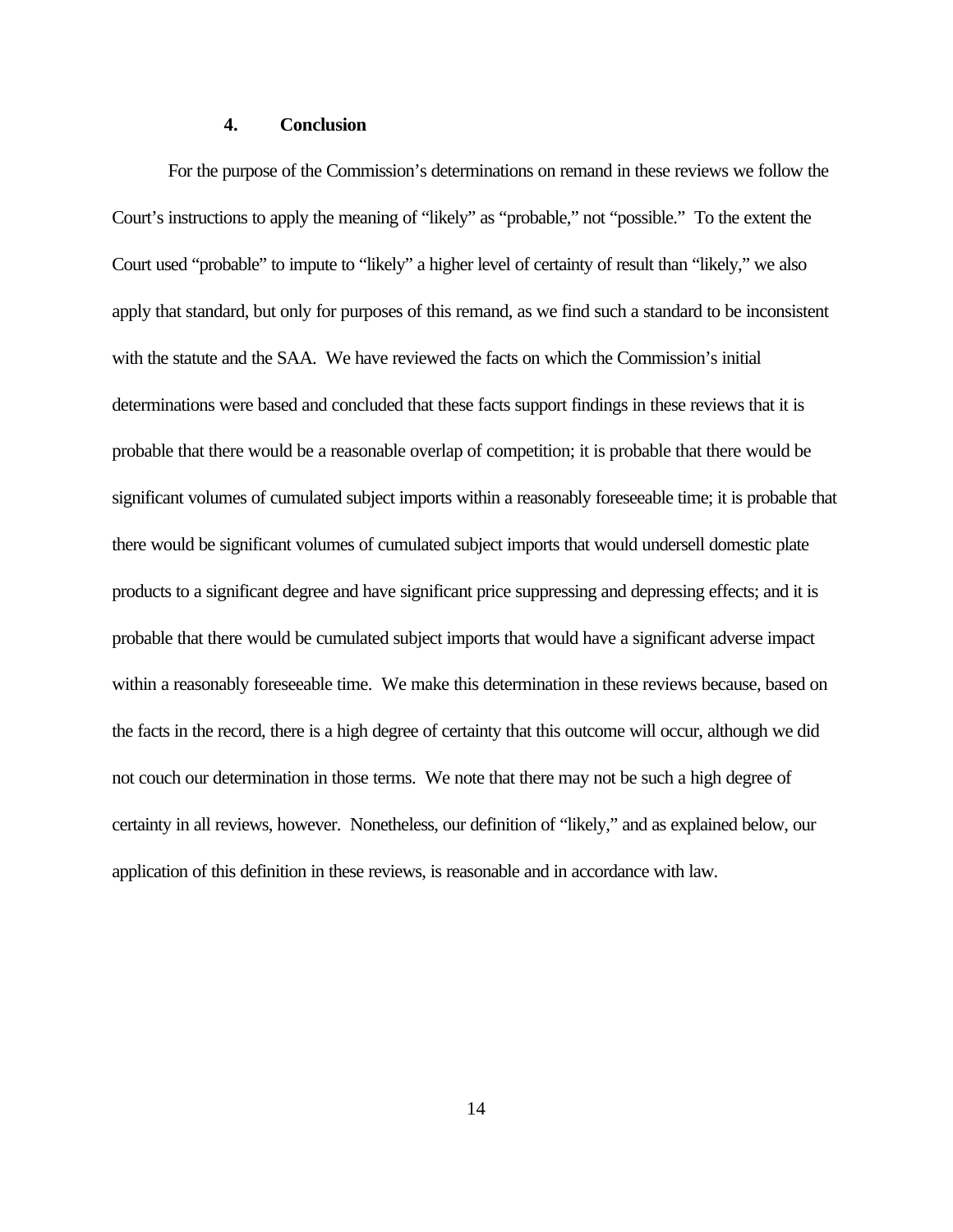#### **4. Conclusion**

For the purpose of the Commission's determinations on remand in these reviews we follow the Court's instructions to apply the meaning of "likely" as "probable," not "possible." To the extent the Court used "probable" to impute to "likely" a higher level of certainty of result than "likely," we also apply that standard, but only for purposes of this remand, as we find such a standard to be inconsistent with the statute and the SAA. We have reviewed the facts on which the Commission's initial determinations were based and concluded that these facts support findings in these reviews that it is probable that there would be a reasonable overlap of competition; it is probable that there would be significant volumes of cumulated subject imports within a reasonably foreseeable time; it is probable that there would be significant volumes of cumulated subject imports that would undersell domestic plate products to a significant degree and have significant price suppressing and depressing effects; and it is probable that there would be cumulated subject imports that would have a significant adverse impact within a reasonably foreseeable time. We make this determination in these reviews because, based on the facts in the record, there is a high degree of certainty that this outcome will occur, although we did not couch our determination in those terms. We note that there may not be such a high degree of certainty in all reviews, however. Nonetheless, our definition of "likely," and as explained below, our application of this definition in these reviews, is reasonable and in accordance with law.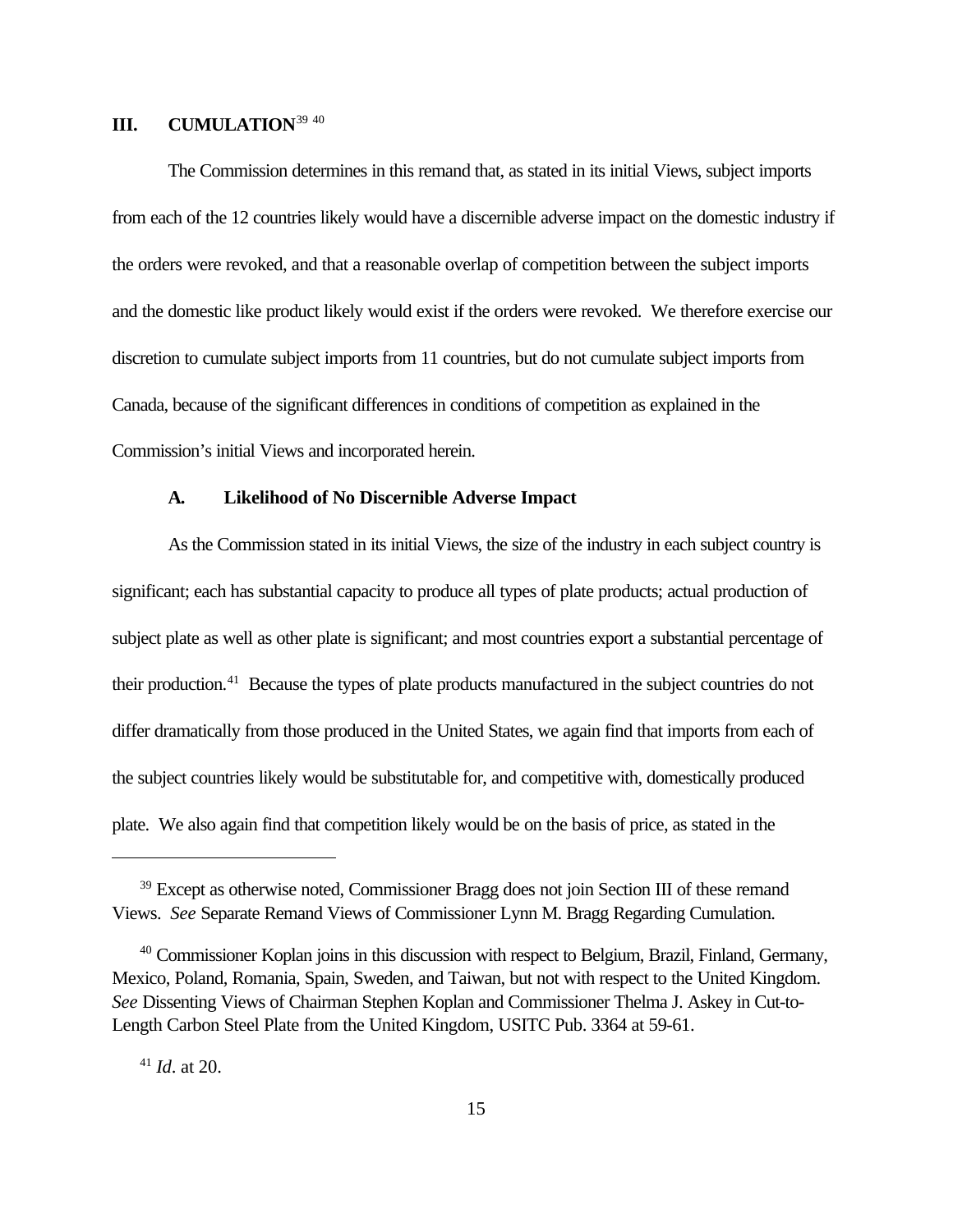## **III. CUMULATION**<sup>39</sup> <sup>40</sup>

The Commission determines in this remand that, as stated in its initial Views, subject imports from each of the 12 countries likely would have a discernible adverse impact on the domestic industry if the orders were revoked, and that a reasonable overlap of competition between the subject imports and the domestic like product likely would exist if the orders were revoked. We therefore exercise our discretion to cumulate subject imports from 11 countries, but do not cumulate subject imports from Canada, because of the significant differences in conditions of competition as explained in the Commission's initial Views and incorporated herein.

#### **A. Likelihood of No Discernible Adverse Impact**

As the Commission stated in its initial Views, the size of the industry in each subject country is significant; each has substantial capacity to produce all types of plate products; actual production of subject plate as well as other plate is significant; and most countries export a substantial percentage of their production.<sup>41</sup> Because the types of plate products manufactured in the subject countries do not differ dramatically from those produced in the United States, we again find that imports from each of the subject countries likely would be substitutable for, and competitive with, domestically produced plate. We also again find that competition likely would be on the basis of price, as stated in the

<sup>41</sup> *Id*. at 20.

<sup>&</sup>lt;sup>39</sup> Except as otherwise noted, Commissioner Bragg does not join Section III of these remand Views. *See* Separate Remand Views of Commissioner Lynn M. Bragg Regarding Cumulation.

<sup>&</sup>lt;sup>40</sup> Commissioner Koplan joins in this discussion with respect to Belgium, Brazil, Finland, Germany, Mexico, Poland, Romania, Spain, Sweden, and Taiwan, but not with respect to the United Kingdom. *See* Dissenting Views of Chairman Stephen Koplan and Commissioner Thelma J. Askey in Cut-to-Length Carbon Steel Plate from the United Kingdom, USITC Pub. 3364 at 59-61.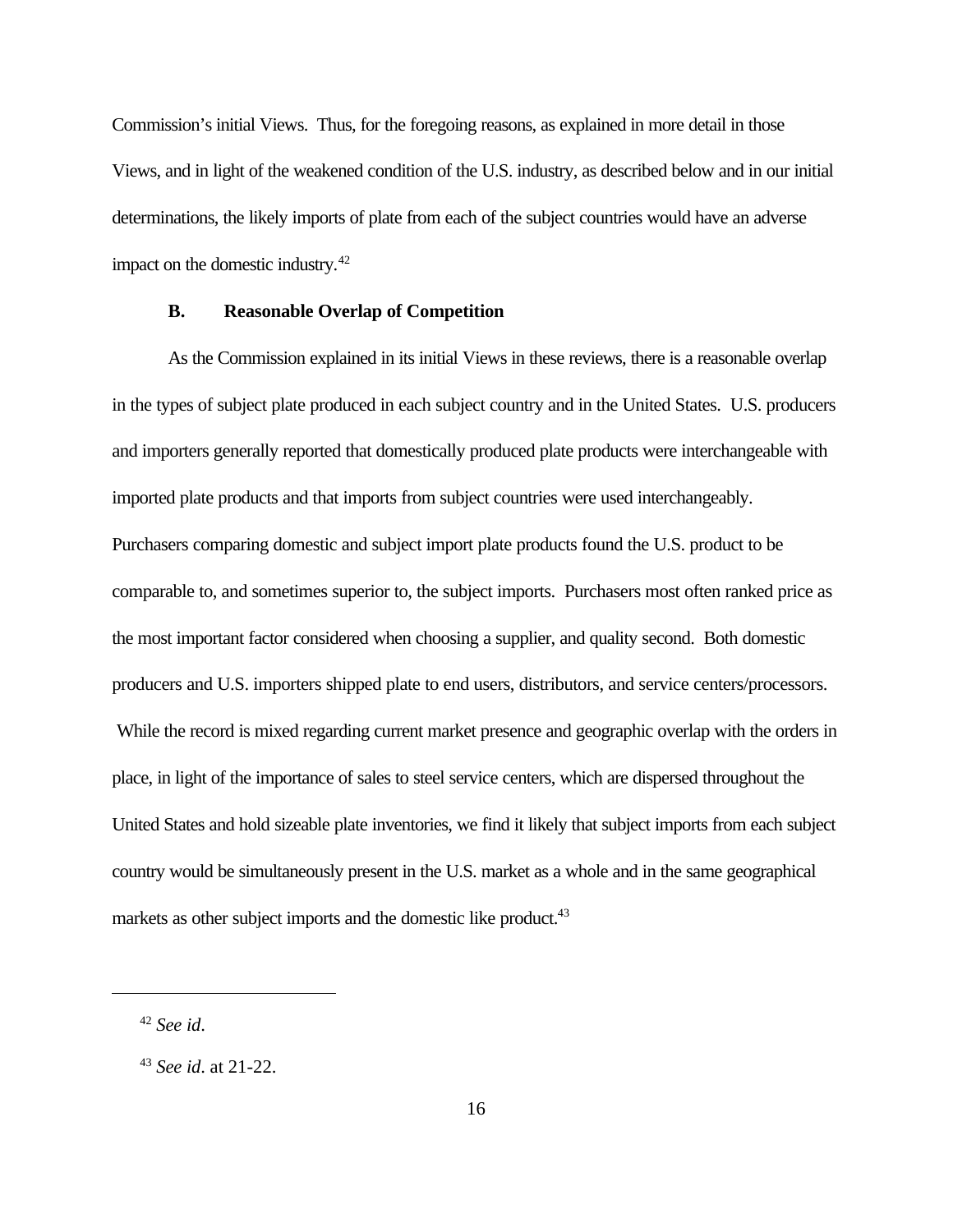Commission's initial Views. Thus, for the foregoing reasons, as explained in more detail in those Views, and in light of the weakened condition of the U.S. industry, as described below and in our initial determinations, the likely imports of plate from each of the subject countries would have an adverse impact on the domestic industry. $42$ 

## **B. Reasonable Overlap of Competition**

As the Commission explained in its initial Views in these reviews, there is a reasonable overlap in the types of subject plate produced in each subject country and in the United States. U.S. producers and importers generally reported that domestically produced plate products were interchangeable with imported plate products and that imports from subject countries were used interchangeably. Purchasers comparing domestic and subject import plate products found the U.S. product to be comparable to, and sometimes superior to, the subject imports. Purchasers most often ranked price as the most important factor considered when choosing a supplier, and quality second. Both domestic producers and U.S. importers shipped plate to end users, distributors, and service centers/processors. While the record is mixed regarding current market presence and geographic overlap with the orders in place, in light of the importance of sales to steel service centers, which are dispersed throughout the United States and hold sizeable plate inventories, we find it likely that subject imports from each subject country would be simultaneously present in the U.S. market as a whole and in the same geographical markets as other subject imports and the domestic like product.<sup>43</sup>

<sup>42</sup> *See id*.

<sup>43</sup> *See id*. at 21-22.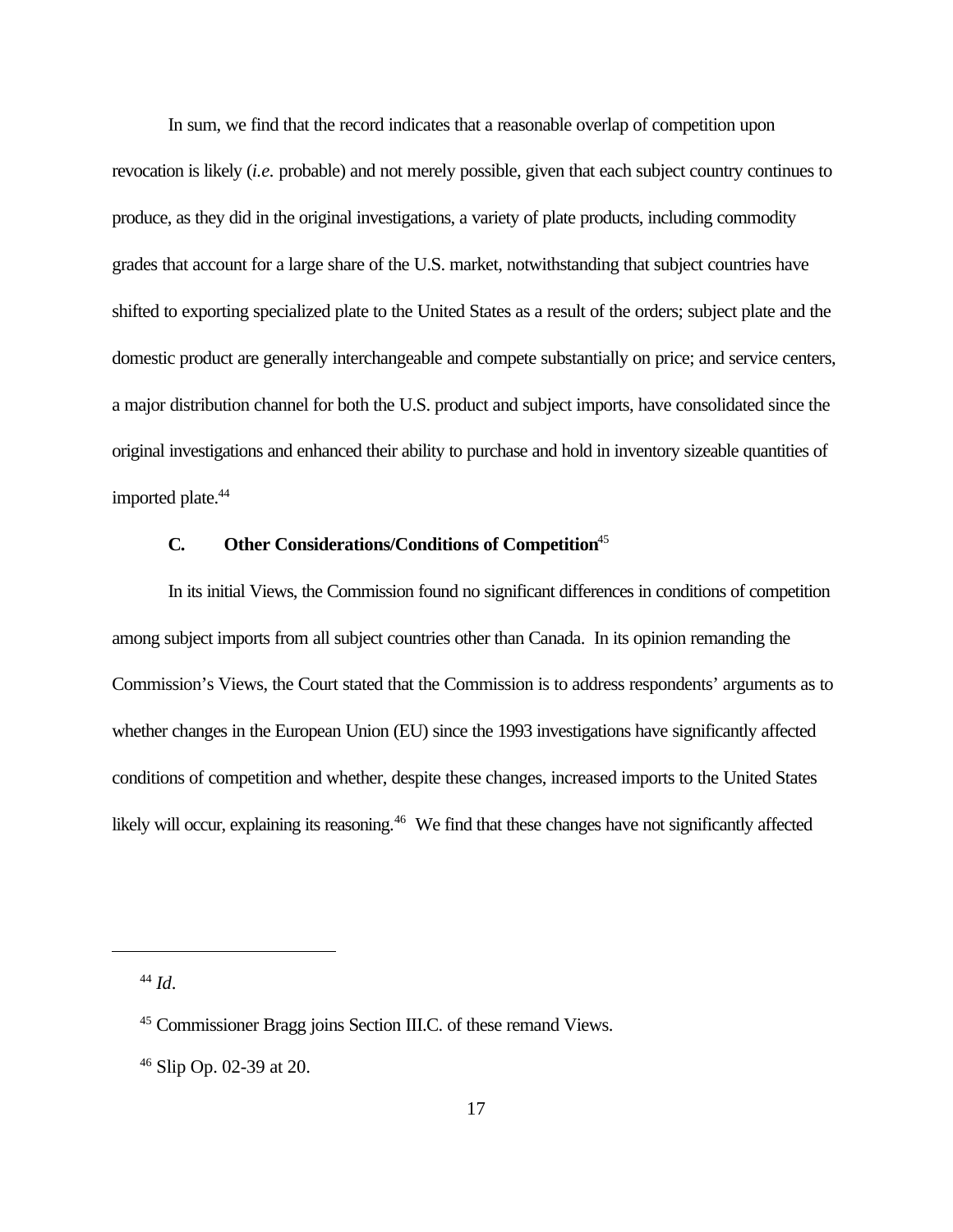In sum, we find that the record indicates that a reasonable overlap of competition upon revocation is likely (*i.e.* probable) and not merely possible, given that each subject country continues to produce, as they did in the original investigations, a variety of plate products, including commodity grades that account for a large share of the U.S. market, notwithstanding that subject countries have shifted to exporting specialized plate to the United States as a result of the orders; subject plate and the domestic product are generally interchangeable and compete substantially on price; and service centers, a major distribution channel for both the U.S. product and subject imports, have consolidated since the original investigations and enhanced their ability to purchase and hold in inventory sizeable quantities of imported plate.<sup>44</sup>

## **C. Other Considerations/Conditions of Competition**<sup>45</sup>

In its initial Views, the Commission found no significant differences in conditions of competition among subject imports from all subject countries other than Canada. In its opinion remanding the Commission's Views, the Court stated that the Commission is to address respondents' arguments as to whether changes in the European Union (EU) since the 1993 investigations have significantly affected conditions of competition and whether, despite these changes, increased imports to the United States likely will occur, explaining its reasoning.<sup>46</sup> We find that these changes have not significantly affected

<sup>44</sup> *Id*.

<sup>45</sup> Commissioner Bragg joins Section III.C. of these remand Views.

 $46$  Slip Op. 02-39 at 20.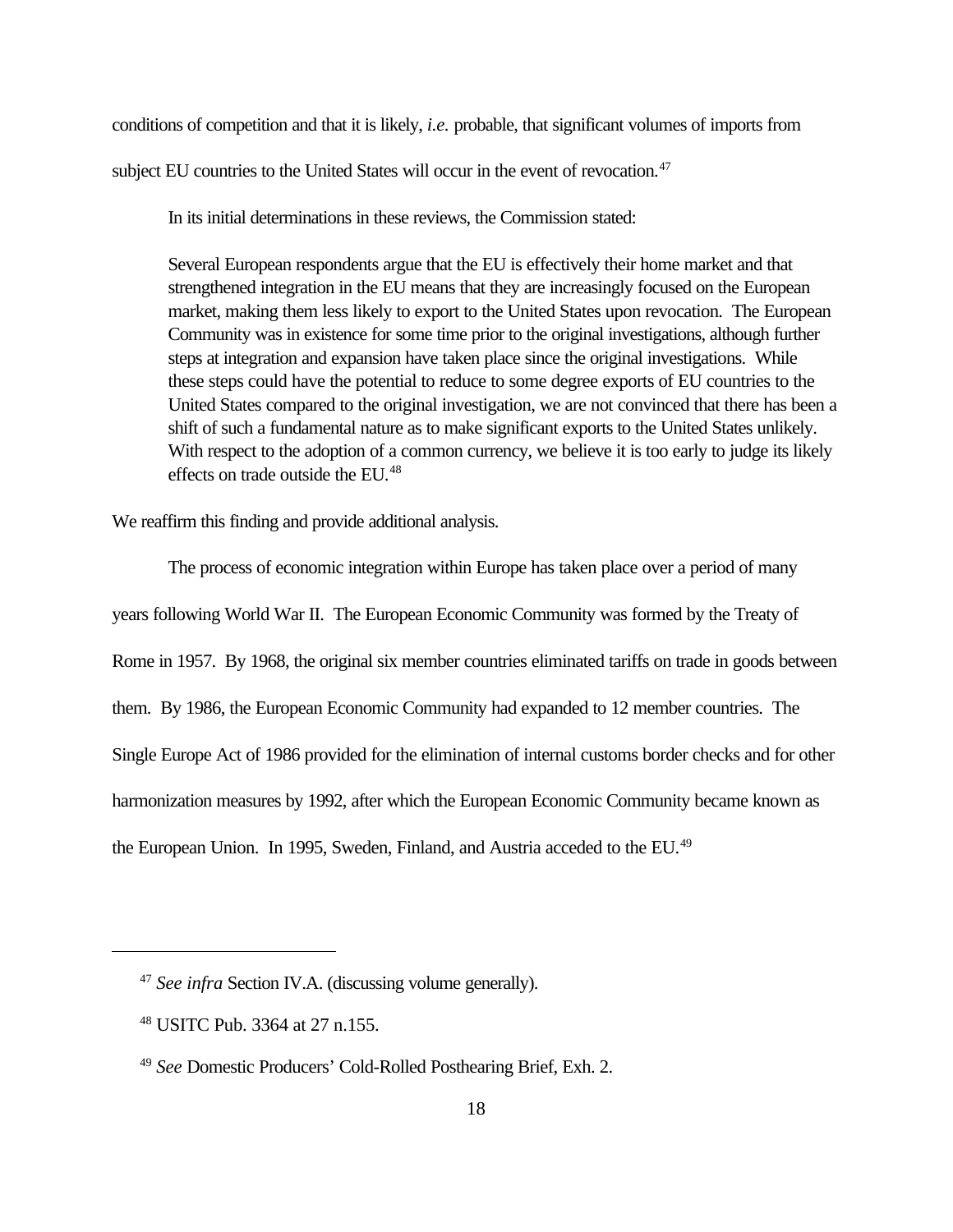conditions of competition and that it is likely, *i.e.* probable, that significant volumes of imports from subject EU countries to the United States will occur in the event of revocation.<sup>47</sup>

In its initial determinations in these reviews, the Commission stated:

Several European respondents argue that the EU is effectively their home market and that strengthened integration in the EU means that they are increasingly focused on the European market, making them less likely to export to the United States upon revocation. The European Community was in existence for some time prior to the original investigations, although further steps at integration and expansion have taken place since the original investigations. While these steps could have the potential to reduce to some degree exports of EU countries to the United States compared to the original investigation, we are not convinced that there has been a shift of such a fundamental nature as to make significant exports to the United States unlikely. With respect to the adoption of a common currency, we believe it is too early to judge its likely effects on trade outside the EU.<sup>48</sup>

We reaffirm this finding and provide additional analysis.

The process of economic integration within Europe has taken place over a period of many years following World War II. The European Economic Community was formed by the Treaty of Rome in 1957. By 1968, the original six member countries eliminated tariffs on trade in goods between them. By 1986, the European Economic Community had expanded to 12 member countries. The Single Europe Act of 1986 provided for the elimination of internal customs border checks and for other harmonization measures by 1992, after which the European Economic Community became known as the European Union. In 1995, Sweden, Finland, and Austria acceded to the EU.<sup>49</sup>

<sup>47</sup> *See infra* Section IV.A. (discussing volume generally).

<sup>48</sup> USITC Pub. 3364 at 27 n.155.

<sup>49</sup> *See* Domestic Producers' Cold-Rolled Posthearing Brief, Exh. 2.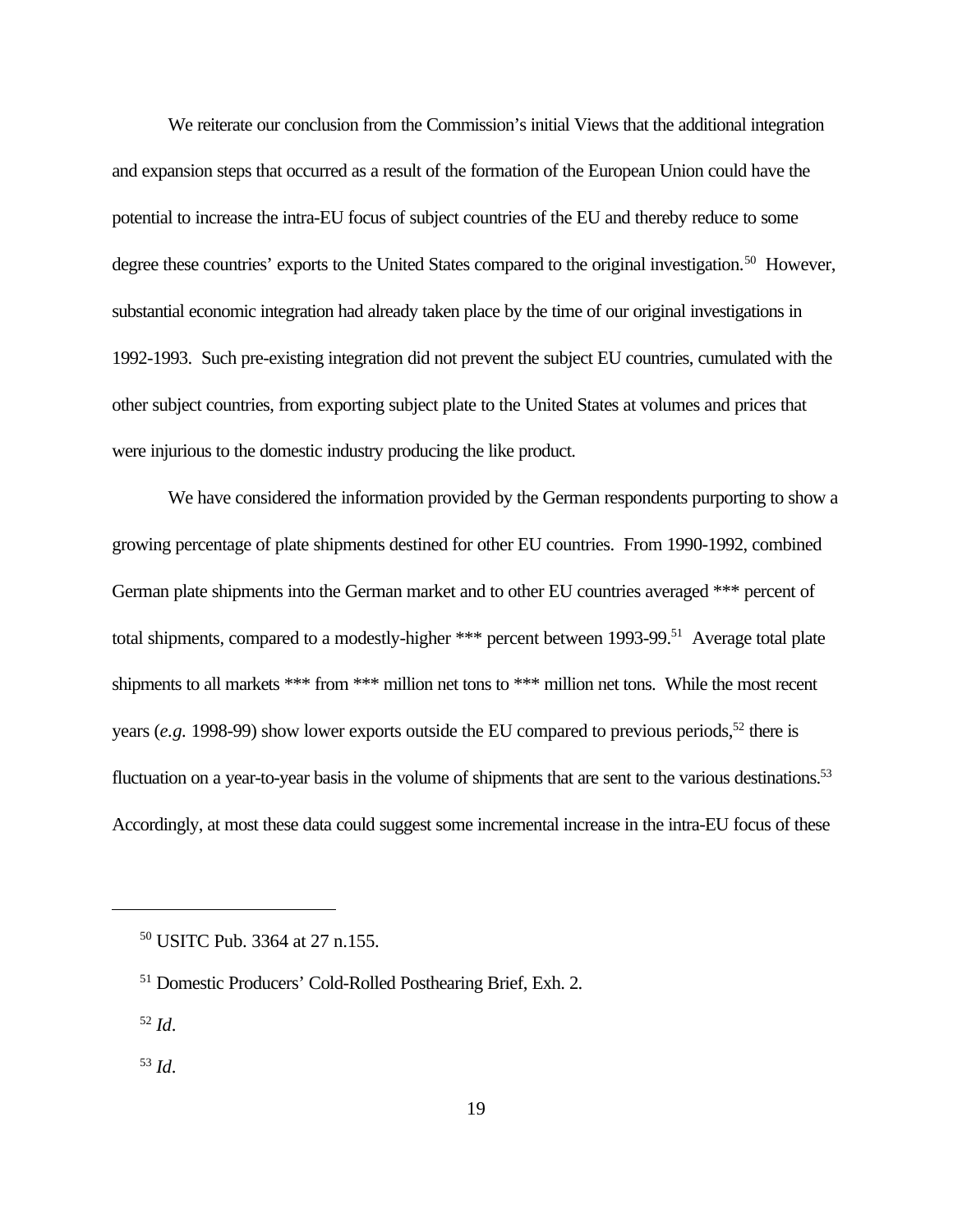We reiterate our conclusion from the Commission's initial Views that the additional integration and expansion steps that occurred as a result of the formation of the European Union could have the potential to increase the intra-EU focus of subject countries of the EU and thereby reduce to some degree these countries' exports to the United States compared to the original investigation.<sup>50</sup> However, substantial economic integration had already taken place by the time of our original investigations in 1992-1993. Such pre-existing integration did not prevent the subject EU countries, cumulated with the other subject countries, from exporting subject plate to the United States at volumes and prices that were injurious to the domestic industry producing the like product.

We have considered the information provided by the German respondents purporting to show a growing percentage of plate shipments destined for other EU countries. From 1990-1992, combined German plate shipments into the German market and to other EU countries averaged \*\*\* percent of total shipments, compared to a modestly-higher \*\*\* percent between 1993-99.<sup>51</sup> Average total plate shipments to all markets \*\*\* from \*\*\* million net tons to \*\*\* million net tons. While the most recent years (*e.g.* 1998-99) show lower exports outside the EU compared to previous periods,<sup>52</sup> there is fluctuation on a year-to-year basis in the volume of shipments that are sent to the various destinations.<sup>53</sup> Accordingly, at most these data could suggest some incremental increase in the intra-EU focus of these

<sup>50</sup> USITC Pub. 3364 at 27 n.155.

<sup>51</sup> Domestic Producers' Cold-Rolled Posthearing Brief, Exh. 2.

<sup>52</sup> *Id*.

<sup>53</sup> *Id*.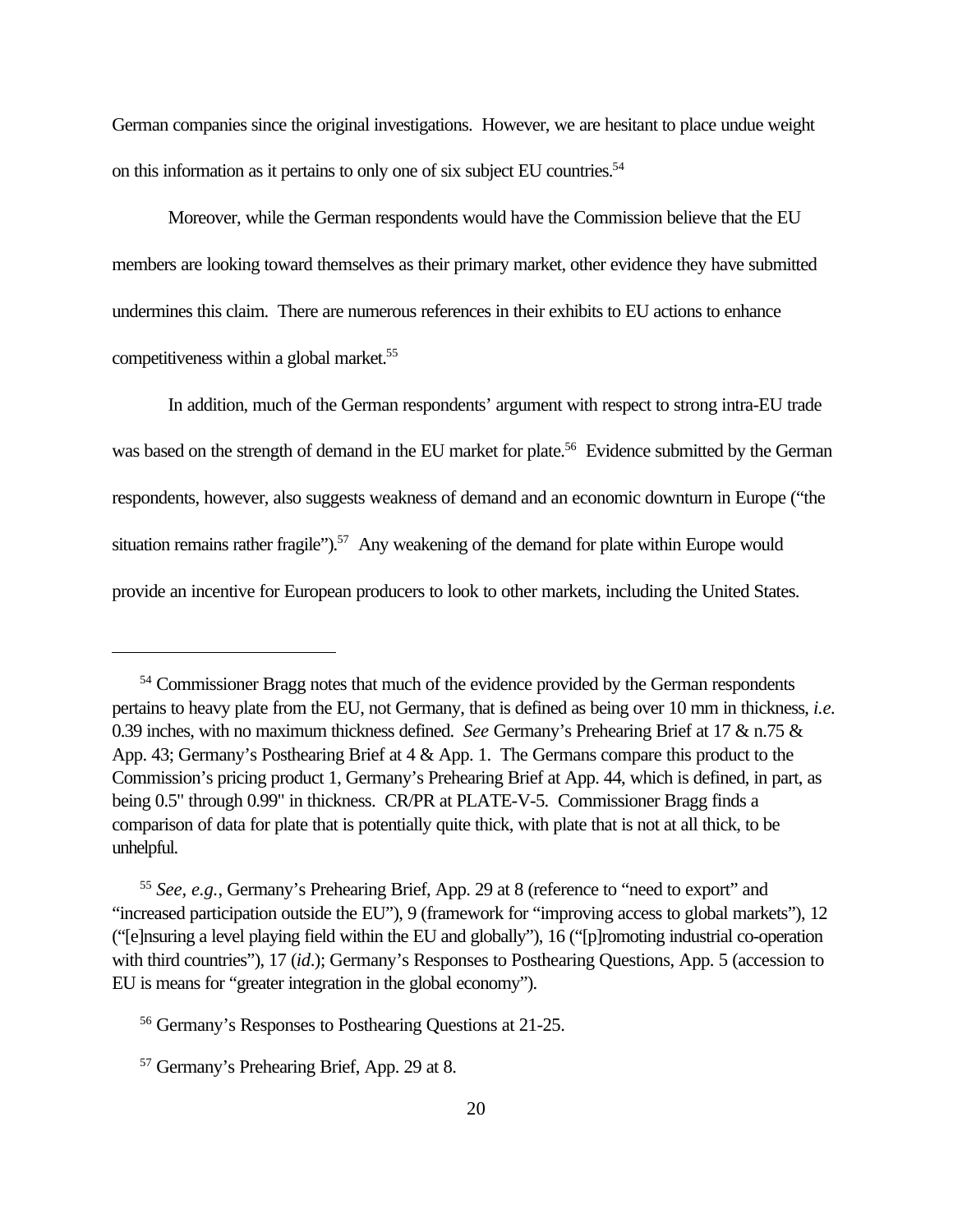German companies since the original investigations. However, we are hesitant to place undue weight on this information as it pertains to only one of six subject EU countries.<sup>54</sup>

Moreover, while the German respondents would have the Commission believe that the EU members are looking toward themselves as their primary market, other evidence they have submitted undermines this claim. There are numerous references in their exhibits to EU actions to enhance competitiveness within a global market.<sup>55</sup>

In addition, much of the German respondents' argument with respect to strong intra-EU trade was based on the strength of demand in the EU market for plate.<sup>56</sup> Evidence submitted by the German respondents, however, also suggests weakness of demand and an economic downturn in Europe ("the situation remains rather fragile").<sup>57</sup> Any weakening of the demand for plate within Europe would provide an incentive for European producers to look to other markets, including the United States.

<sup>54</sup> Commissioner Bragg notes that much of the evidence provided by the German respondents pertains to heavy plate from the EU, not Germany, that is defined as being over 10 mm in thickness, *i.e.* 0.39 inches, with no maximum thickness defined. *See* Germany's Prehearing Brief at 17 & n.75 & App. 43; Germany's Posthearing Brief at 4 & App. 1. The Germans compare this product to the Commission's pricing product 1, Germany's Prehearing Brief at App. 44, which is defined, in part, as being 0.5" through 0.99" in thickness. CR/PR at PLATE-V-5. Commissioner Bragg finds a comparison of data for plate that is potentially quite thick, with plate that is not at all thick, to be unhelpful.

<sup>55</sup> *See, e.g.*, Germany's Prehearing Brief, App. 29 at 8 (reference to "need to export" and "increased participation outside the EU"), 9 (framework for "improving access to global markets"), 12 ("[e]nsuring a level playing field within the EU and globally"), 16 ("[p]romoting industrial co-operation with third countries"), 17 *(id.)*; Germany's Responses to Posthearing Questions, App. 5 *(accession to*) EU is means for "greater integration in the global economy").

<sup>56</sup> Germany's Responses to Posthearing Questions at 21-25.

<sup>57</sup> Germany's Prehearing Brief, App. 29 at 8.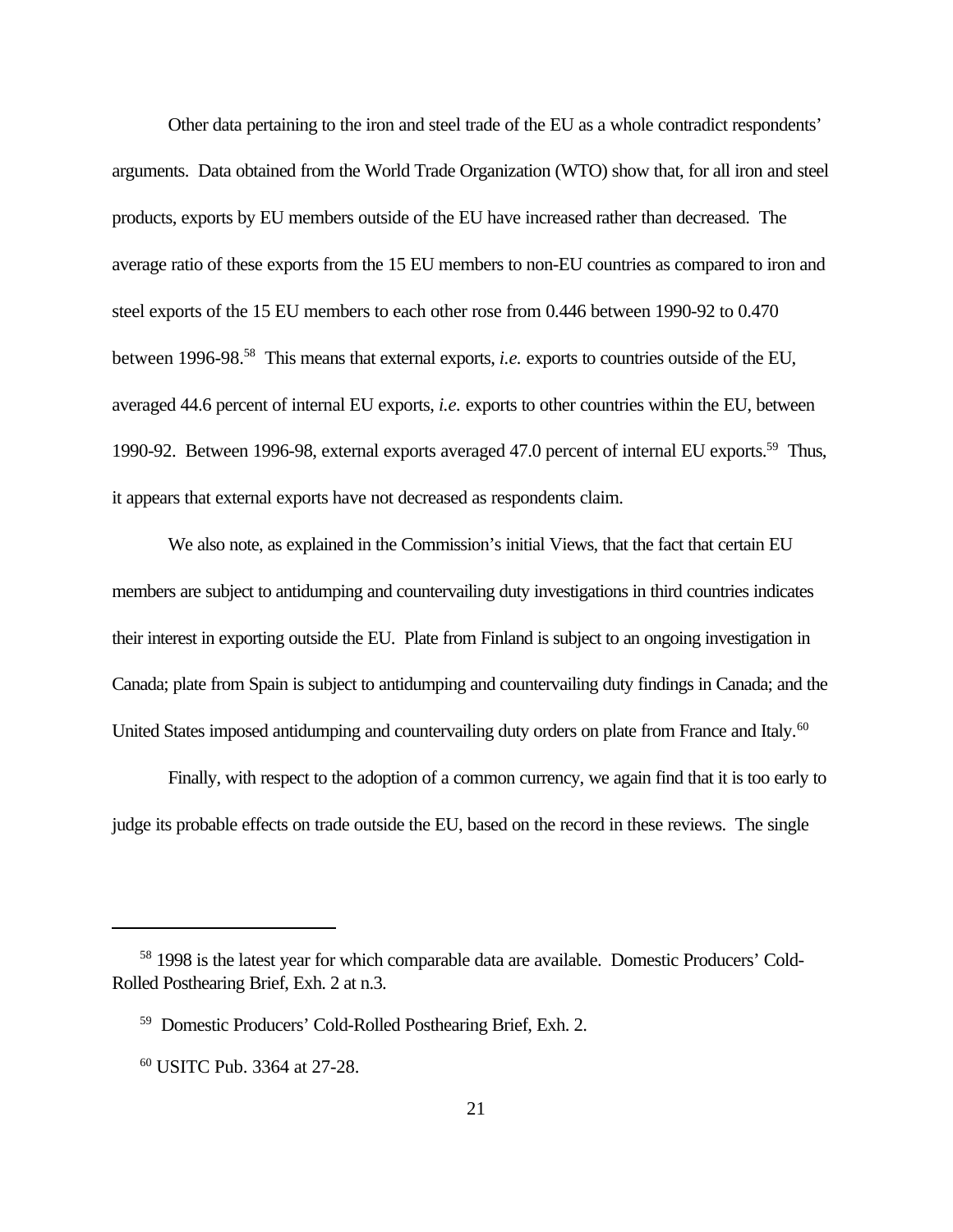Other data pertaining to the iron and steel trade of the EU as a whole contradict respondents' arguments. Data obtained from the World Trade Organization (WTO) show that, for all iron and steel products, exports by EU members outside of the EU have increased rather than decreased. The average ratio of these exports from the 15 EU members to non-EU countries as compared to iron and steel exports of the 15 EU members to each other rose from 0.446 between 1990-92 to 0.470 between 1996-98.<sup>58</sup> This means that external exports, *i.e.* exports to countries outside of the EU, averaged 44.6 percent of internal EU exports, *i.e.* exports to other countries within the EU, between 1990-92. Between 1996-98, external exports averaged 47.0 percent of internal EU exports.<sup>59</sup> Thus, it appears that external exports have not decreased as respondents claim.

We also note, as explained in the Commission's initial Views, that the fact that certain EU members are subject to antidumping and countervailing duty investigations in third countries indicates their interest in exporting outside the EU. Plate from Finland is subject to an ongoing investigation in Canada; plate from Spain is subject to antidumping and countervailing duty findings in Canada; and the United States imposed antidumping and countervailing duty orders on plate from France and Italy.<sup>60</sup>

Finally, with respect to the adoption of a common currency, we again find that it is too early to judge its probable effects on trade outside the EU, based on the record in these reviews. The single

<sup>58</sup> 1998 is the latest year for which comparable data are available. Domestic Producers' Cold-Rolled Posthearing Brief, Exh. 2 at n.3.

<sup>59</sup> Domestic Producers' Cold-Rolled Posthearing Brief, Exh. 2.

<sup>60</sup> USITC Pub. 3364 at 27-28.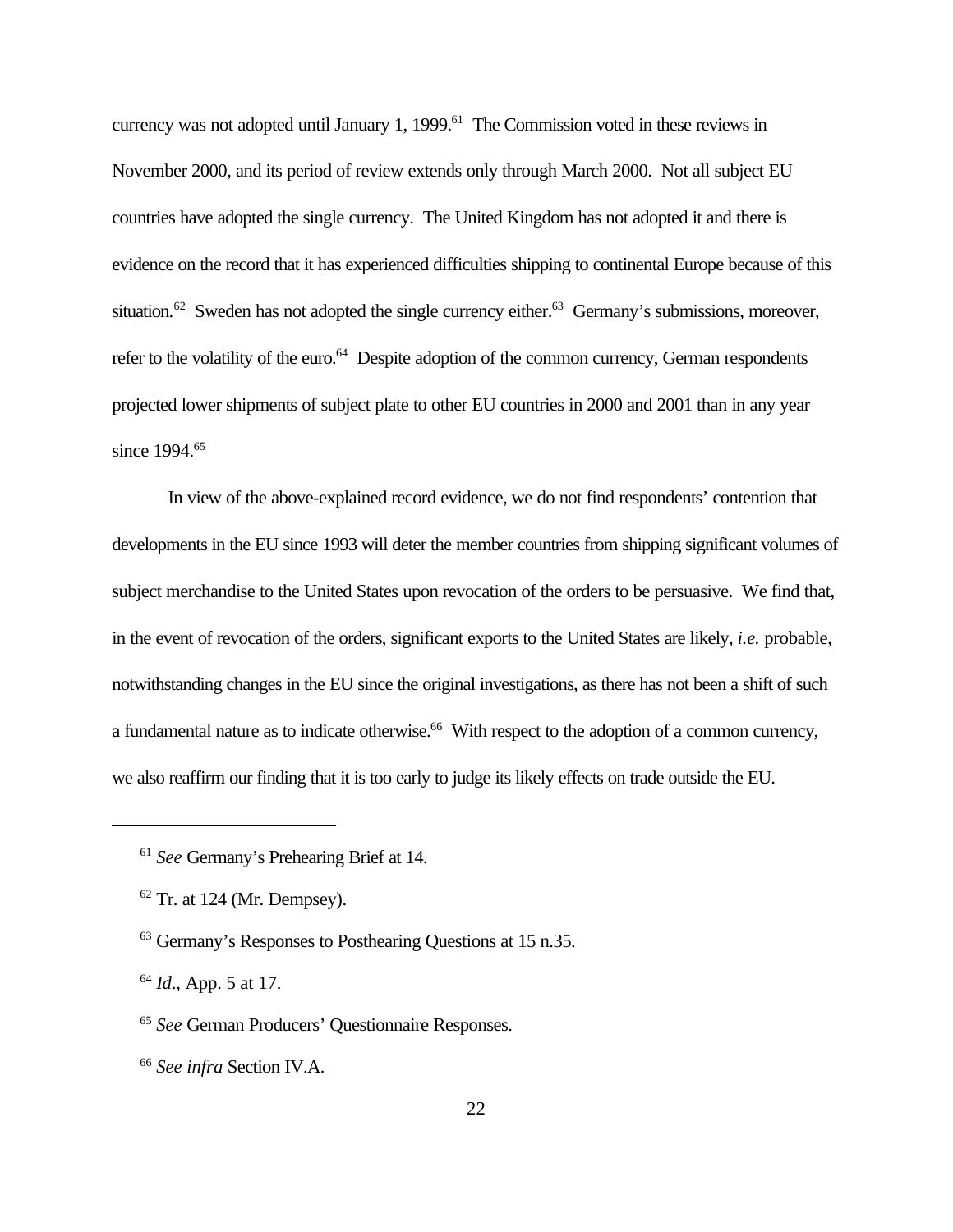currency was not adopted until January 1, 1999.<sup>61</sup> The Commission voted in these reviews in November 2000, and its period of review extends only through March 2000. Not all subject EU countries have adopted the single currency. The United Kingdom has not adopted it and there is evidence on the record that it has experienced difficulties shipping to continental Europe because of this situation.<sup>62</sup> Sweden has not adopted the single currency either.<sup>63</sup> Germany's submissions, moreover, refer to the volatility of the euro.<sup>64</sup> Despite adoption of the common currency, German respondents projected lower shipments of subject plate to other EU countries in 2000 and 2001 than in any year since 1994.<sup>65</sup>

In view of the above-explained record evidence, we do not find respondents' contention that developments in the EU since 1993 will deter the member countries from shipping significant volumes of subject merchandise to the United States upon revocation of the orders to be persuasive. We find that, in the event of revocation of the orders, significant exports to the United States are likely, *i.e.* probable, notwithstanding changes in the EU since the original investigations, as there has not been a shift of such a fundamental nature as to indicate otherwise.<sup>66</sup> With respect to the adoption of a common currency, we also reaffirm our finding that it is too early to judge its likely effects on trade outside the EU.

<sup>66</sup> *See infra* Section IV.A.

<sup>61</sup> *See* Germany's Prehearing Brief at 14.

 $62$  Tr. at 124 (Mr. Dempsey).

<sup>63</sup> Germany's Responses to Posthearing Questions at 15 n.35.

<sup>64</sup> *Id*., App. 5 at 17.

<sup>65</sup> *See* German Producers' Questionnaire Responses.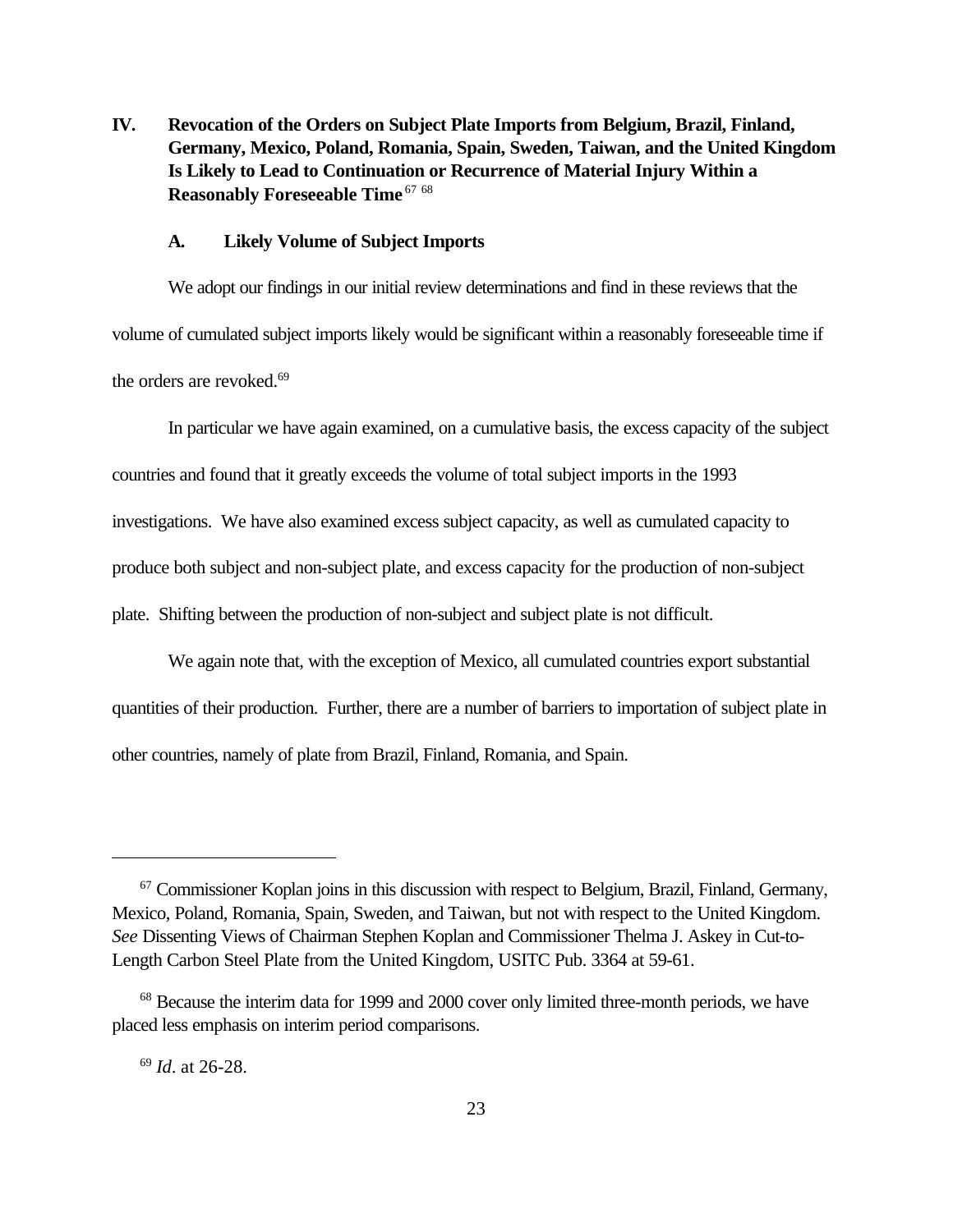**IV. Revocation of the Orders on Subject Plate Imports from Belgium, Brazil, Finland, Germany, Mexico, Poland, Romania, Spain, Sweden, Taiwan, and the United Kingdom Is Likely to Lead to Continuation or Recurrence of Material Injury Within a Reasonably Foreseeable Time** <sup>67</sup> <sup>68</sup>

#### **A. Likely Volume of Subject Imports**

We adopt our findings in our initial review determinations and find in these reviews that the volume of cumulated subject imports likely would be significant within a reasonably foreseeable time if the orders are revoked.<sup>69</sup>

In particular we have again examined, on a cumulative basis, the excess capacity of the subject countries and found that it greatly exceeds the volume of total subject imports in the 1993 investigations. We have also examined excess subject capacity, as well as cumulated capacity to produce both subject and non-subject plate, and excess capacity for the production of non-subject plate. Shifting between the production of non-subject and subject plate is not difficult.

We again note that, with the exception of Mexico, all cumulated countries export substantial quantities of their production. Further, there are a number of barriers to importation of subject plate in other countries, namely of plate from Brazil, Finland, Romania, and Spain.

<sup>69</sup> *Id*. at 26-28.

<sup>&</sup>lt;sup>67</sup> Commissioner Koplan joins in this discussion with respect to Belgium, Brazil, Finland, Germany, Mexico, Poland, Romania, Spain, Sweden, and Taiwan, but not with respect to the United Kingdom. *See* Dissenting Views of Chairman Stephen Koplan and Commissioner Thelma J. Askey in Cut-to-Length Carbon Steel Plate from the United Kingdom, USITC Pub. 3364 at 59-61.

<sup>&</sup>lt;sup>68</sup> Because the interim data for 1999 and 2000 cover only limited three-month periods, we have placed less emphasis on interim period comparisons.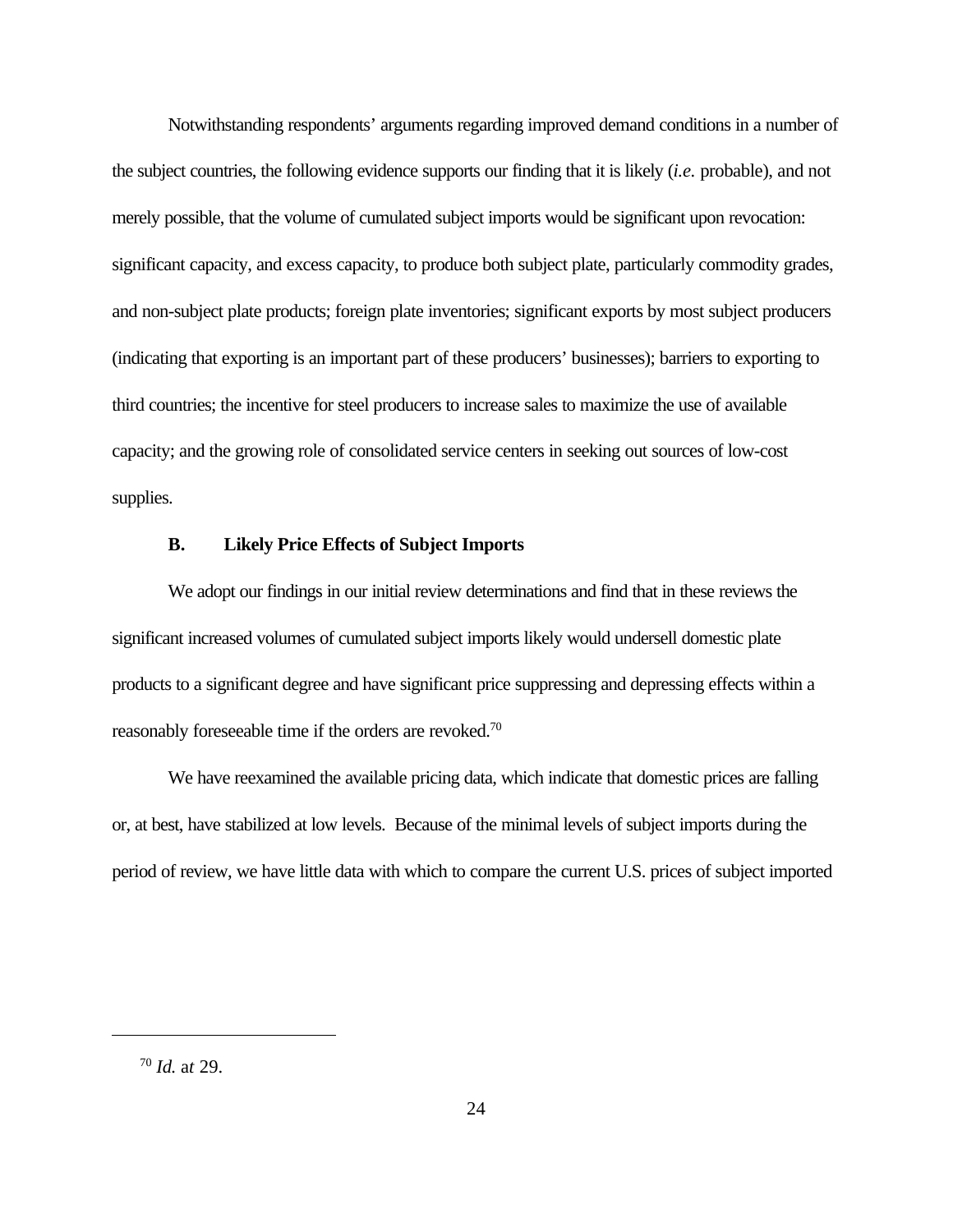Notwithstanding respondents' arguments regarding improved demand conditions in a number of the subject countries, the following evidence supports our finding that it is likely (*i.e.* probable), and not merely possible, that the volume of cumulated subject imports would be significant upon revocation: significant capacity, and excess capacity, to produce both subject plate, particularly commodity grades, and non-subject plate products; foreign plate inventories; significant exports by most subject producers (indicating that exporting is an important part of these producers' businesses); barriers to exporting to third countries; the incentive for steel producers to increase sales to maximize the use of available capacity; and the growing role of consolidated service centers in seeking out sources of low-cost supplies.

#### **B. Likely Price Effects of Subject Imports**

We adopt our findings in our initial review determinations and find that in these reviews the significant increased volumes of cumulated subject imports likely would undersell domestic plate products to a significant degree and have significant price suppressing and depressing effects within a reasonably foreseeable time if the orders are revoked.<sup>70</sup>

We have reexamined the available pricing data, which indicate that domestic prices are falling or, at best, have stabilized at low levels. Because of the minimal levels of subject imports during the period of review, we have little data with which to compare the current U.S. prices of subject imported

<sup>70</sup> *Id.* a*t* 29.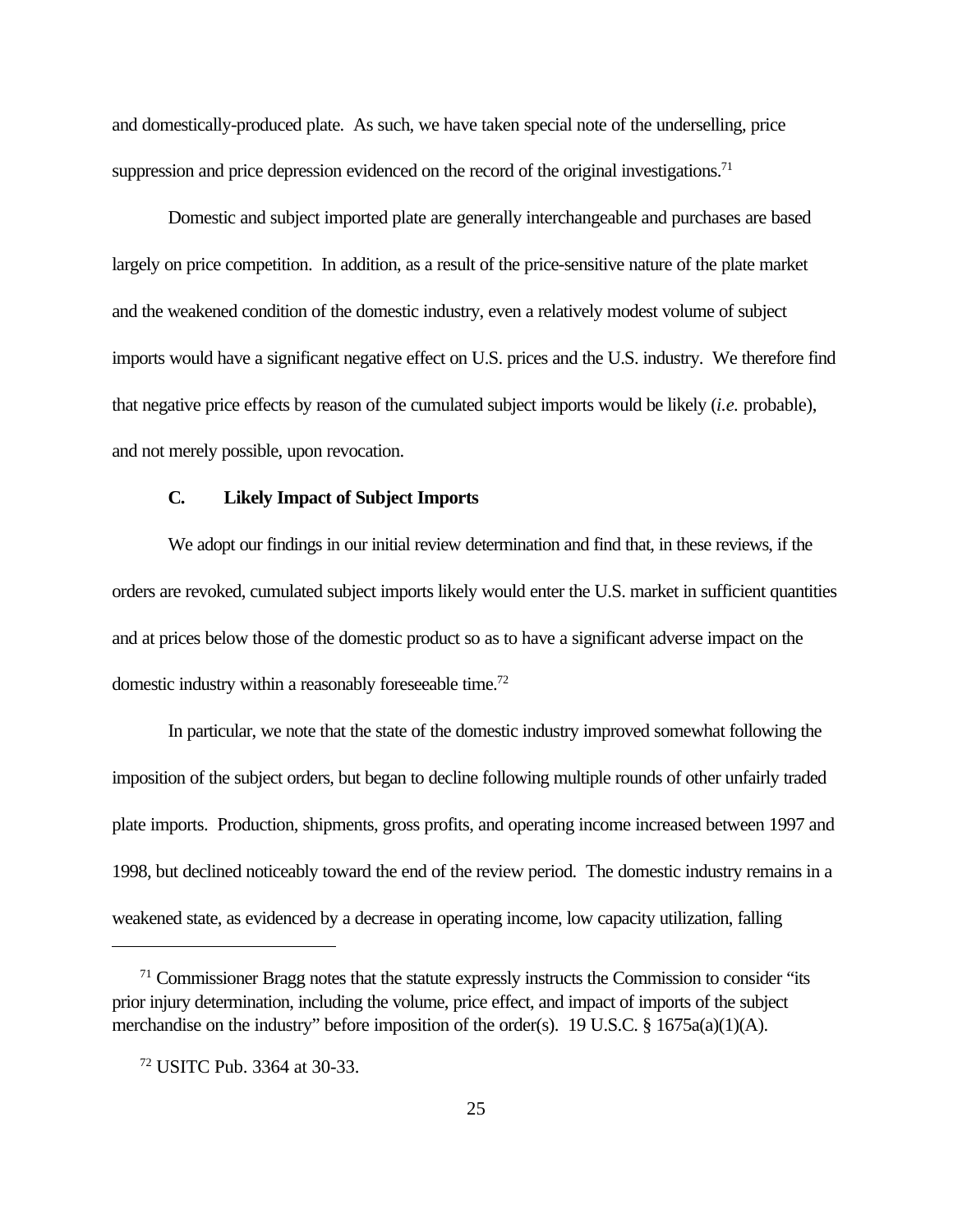and domestically-produced plate. As such, we have taken special note of the underselling, price suppression and price depression evidenced on the record of the original investigations.<sup>71</sup>

Domestic and subject imported plate are generally interchangeable and purchases are based largely on price competition. In addition, as a result of the price-sensitive nature of the plate market and the weakened condition of the domestic industry, even a relatively modest volume of subject imports would have a significant negative effect on U.S. prices and the U.S. industry. We therefore find that negative price effects by reason of the cumulated subject imports would be likely (*i.e.* probable), and not merely possible, upon revocation.

#### **C. Likely Impact of Subject Imports**

We adopt our findings in our initial review determination and find that, in these reviews, if the orders are revoked, cumulated subject imports likely would enter the U.S. market in sufficient quantities and at prices below those of the domestic product so as to have a significant adverse impact on the domestic industry within a reasonably foreseeable time.<sup>72</sup>

In particular, we note that the state of the domestic industry improved somewhat following the imposition of the subject orders, but began to decline following multiple rounds of other unfairly traded plate imports. Production, shipments, gross profits, and operating income increased between 1997 and 1998, but declined noticeably toward the end of the review period. The domestic industry remains in a weakened state, as evidenced by a decrease in operating income, low capacity utilization, falling

 $71$  Commissioner Bragg notes that the statute expressly instructs the Commission to consider "its" prior injury determination, including the volume, price effect, and impact of imports of the subject merchandise on the industry" before imposition of the order(s). 19 U.S.C. § 1675a(a)(1)(A).

<sup>72</sup> USITC Pub. 3364 at 30-33.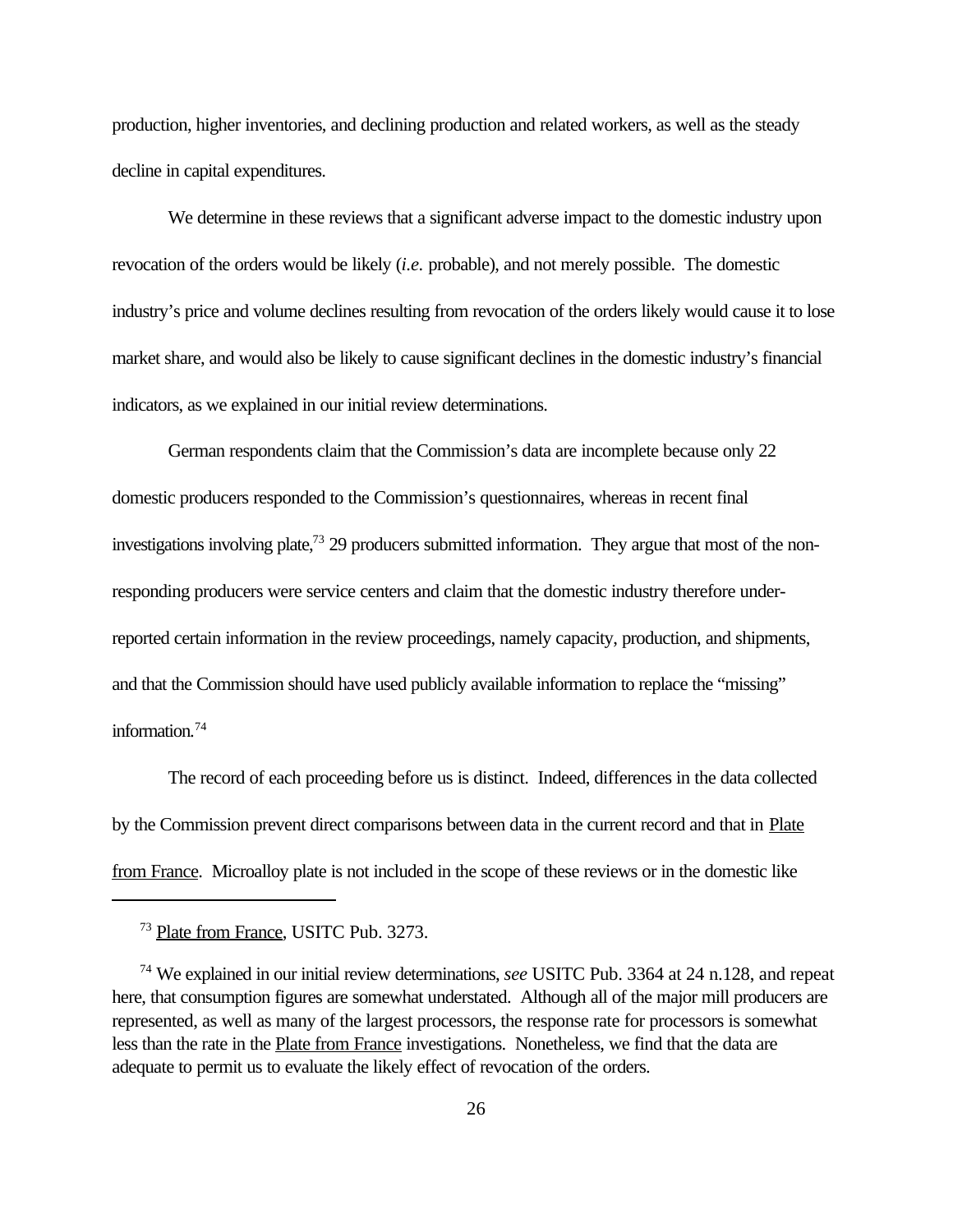production, higher inventories, and declining production and related workers, as well as the steady decline in capital expenditures.

We determine in these reviews that a significant adverse impact to the domestic industry upon revocation of the orders would be likely (*i.e.* probable), and not merely possible. The domestic industry's price and volume declines resulting from revocation of the orders likely would cause it to lose market share, and would also be likely to cause significant declines in the domestic industry's financial indicators, as we explained in our initial review determinations.

German respondents claim that the Commission's data are incomplete because only 22 domestic producers responded to the Commission's questionnaires, whereas in recent final investigations involving plate,<sup>73</sup> 29 producers submitted information. They argue that most of the nonresponding producers were service centers and claim that the domestic industry therefore underreported certain information in the review proceedings, namely capacity, production, and shipments, and that the Commission should have used publicly available information to replace the "missing" information.<sup>74</sup>

The record of each proceeding before us is distinct. Indeed, differences in the data collected by the Commission prevent direct comparisons between data in the current record and that in Plate from France. Microalloy plate is not included in the scope of these reviews or in the domestic like

<sup>73</sup> Plate from France, USITC Pub. 3273.

<sup>74</sup> We explained in our initial review determinations, *see* USITC Pub. 3364 at 24 n.128, and repeat here, that consumption figures are somewhat understated. Although all of the major mill producers are represented, as well as many of the largest processors, the response rate for processors is somewhat less than the rate in the Plate from France investigations. Nonetheless, we find that the data are adequate to permit us to evaluate the likely effect of revocation of the orders.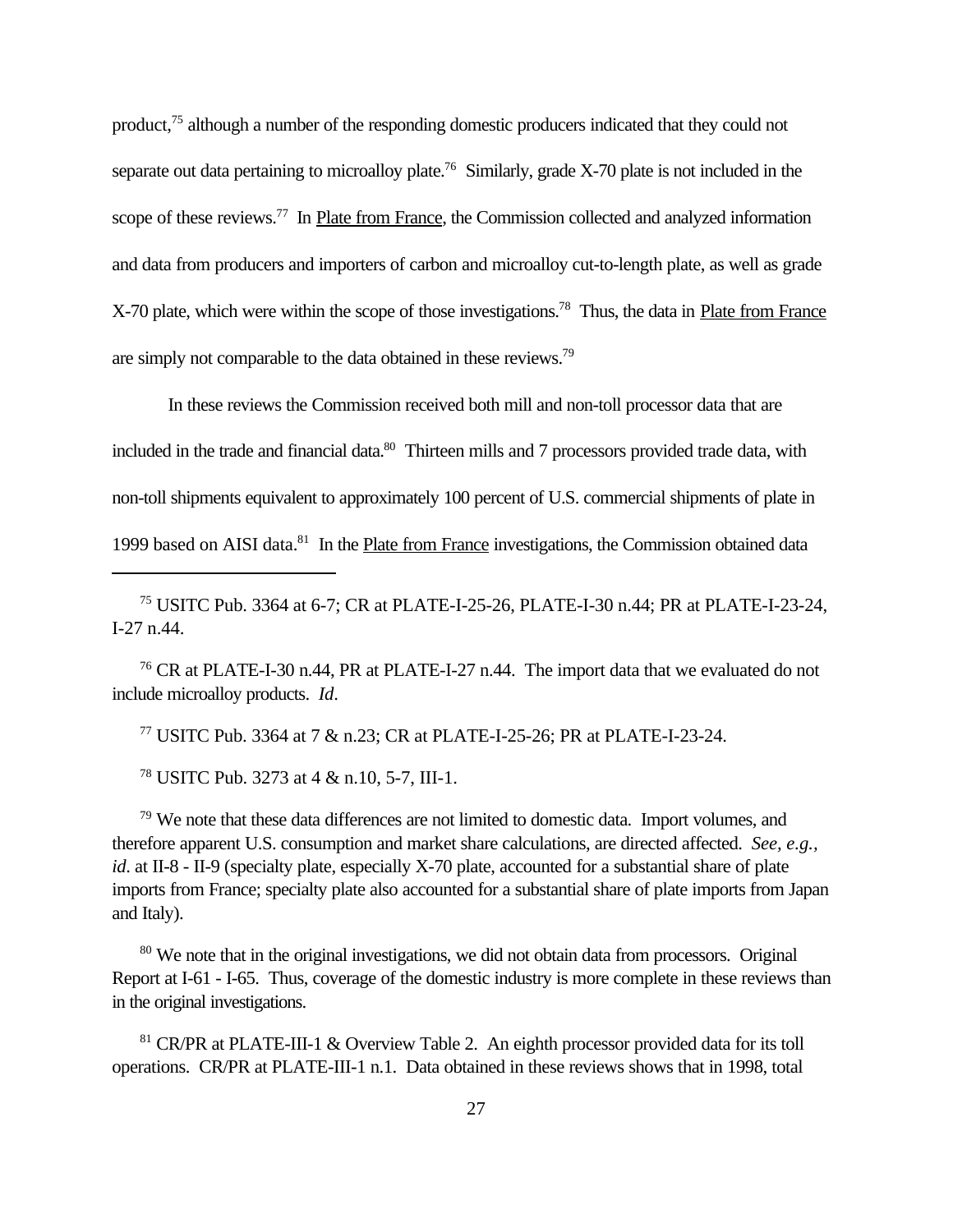product,<sup>75</sup> although a number of the responding domestic producers indicated that they could not separate out data pertaining to microalloy plate.<sup>76</sup> Similarly, grade X-70 plate is not included in the scope of these reviews.<sup>77</sup> In Plate from France, the Commission collected and analyzed information and data from producers and importers of carbon and microalloy cut-to-length plate, as well as grade X-70 plate, which were within the scope of those investigations.<sup>78</sup> Thus, the data in Plate from France are simply not comparable to the data obtained in these reviews.<sup>79</sup>

In these reviews the Commission received both mill and non-toll processor data that are included in the trade and financial data.<sup>80</sup> Thirteen mills and 7 processors provided trade data, with non-toll shipments equivalent to approximately 100 percent of U.S. commercial shipments of plate in 1999 based on AISI data.<sup>81</sup> In the Plate from France investigations, the Commission obtained data

<sup>75</sup> USITC Pub. 3364 at 6-7; CR at PLATE-I-25-26, PLATE-I-30 n.44; PR at PLATE-I-23-24, I-27 n.44.

<sup>76</sup> CR at PLATE-I-30 n.44, PR at PLATE-I-27 n.44. The import data that we evaluated do not include microalloy products. *Id*.

<sup>77</sup> USITC Pub. 3364 at 7 & n.23; CR at PLATE-I-25-26; PR at PLATE-I-23-24.

<sup>78</sup> USITC Pub. 3273 at 4 & n.10, 5-7, III-1.

<sup>79</sup> We note that these data differences are not limited to domestic data. Import volumes, and therefore apparent U.S. consumption and market share calculations, are directed affected. *See, e.g., id*. at II-8 - II-9 (specialty plate, especially X-70 plate, accounted for a substantial share of plate imports from France; specialty plate also accounted for a substantial share of plate imports from Japan and Italy).

<sup>80</sup> We note that in the original investigations, we did not obtain data from processors. Original Report at I-61 - I-65. Thus, coverage of the domestic industry is more complete in these reviews than in the original investigations.

<sup>81</sup> CR/PR at PLATE-III-1 & Overview Table 2. An eighth processor provided data for its toll operations. CR/PR at PLATE-III-1 n.1. Data obtained in these reviews shows that in 1998, total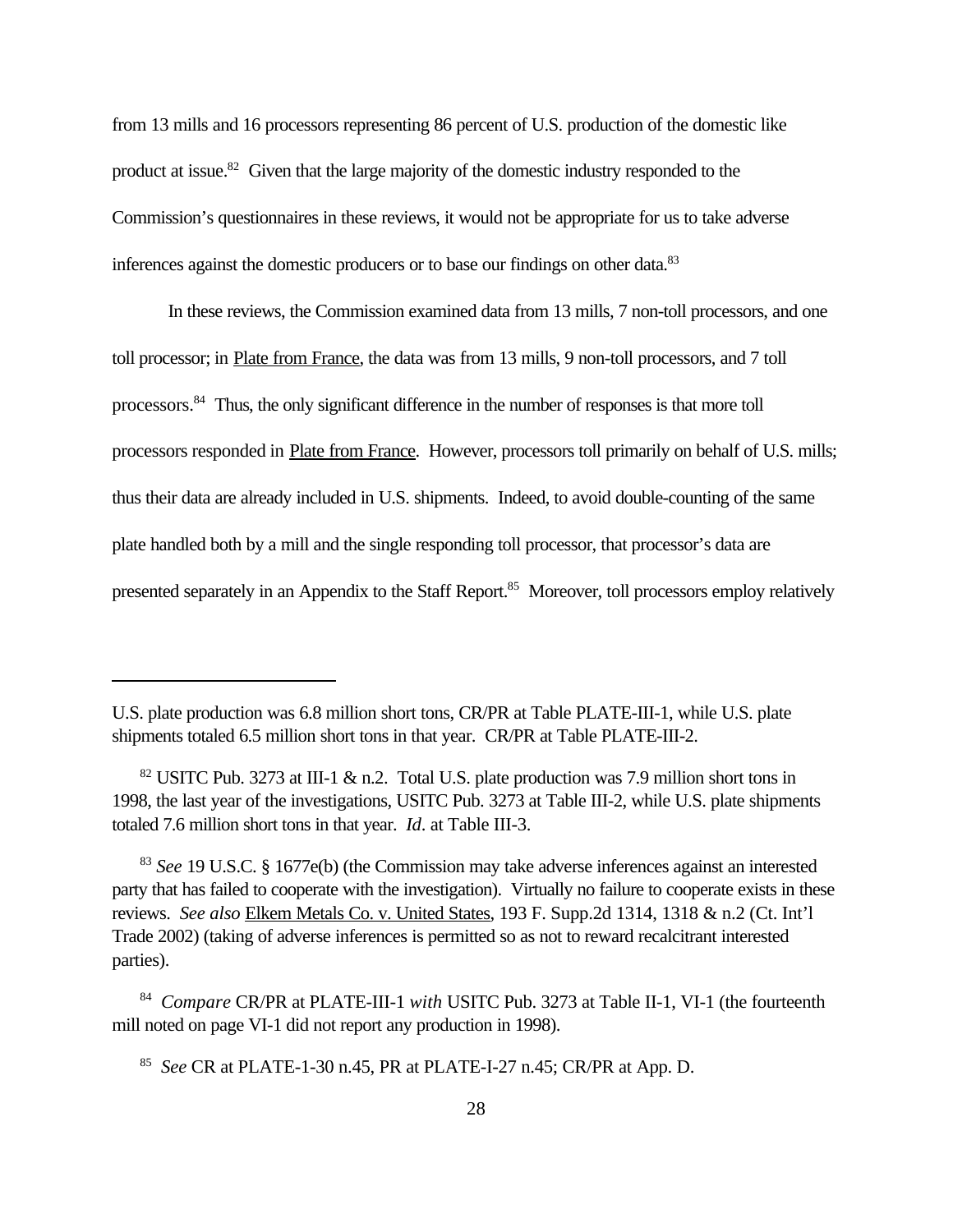from 13 mills and 16 processors representing 86 percent of U.S. production of the domestic like product at issue.<sup>82</sup> Given that the large majority of the domestic industry responded to the Commission's questionnaires in these reviews, it would not be appropriate for us to take adverse inferences against the domestic producers or to base our findings on other data.<sup>83</sup>

In these reviews, the Commission examined data from 13 mills, 7 non-toll processors, and one toll processor; in Plate from France, the data was from 13 mills, 9 non-toll processors, and 7 toll processors.<sup>84</sup> Thus, the only significant difference in the number of responses is that more toll processors responded in Plate from France. However, processors toll primarily on behalf of U.S. mills; thus their data are already included in U.S. shipments. Indeed, to avoid double-counting of the same plate handled both by a mill and the single responding toll processor, that processor's data are presented separately in an Appendix to the Staff Report.<sup>85</sup> Moreover, toll processors employ relatively

U.S. plate production was 6.8 million short tons, CR/PR at Table PLATE-III-1, while U.S. plate shipments totaled 6.5 million short tons in that year. CR/PR at Table PLATE-III-2.

 $82$  USITC Pub. 3273 at III-1 & n.2. Total U.S. plate production was 7.9 million short tons in 1998, the last year of the investigations, USITC Pub. 3273 at Table III-2, while U.S. plate shipments totaled 7.6 million short tons in that year. *Id*. at Table III-3.

<sup>83</sup> *See* 19 U.S.C. § 1677e(b) (the Commission may take adverse inferences against an interested party that has failed to cooperate with the investigation). Virtually no failure to cooperate exists in these reviews. *See also* Elkem Metals Co. v. United States, 193 F. Supp.2d 1314, 1318 & n.2 (Ct. Int'l Trade 2002) (taking of adverse inferences is permitted so as not to reward recalcitrant interested parties).

<sup>84</sup> *Compare* CR/PR at PLATE-III-1 *with* USITC Pub. 3273 at Table II-1, VI-1 (the fourteenth mill noted on page VI-1 did not report any production in 1998).

<sup>85</sup> *See* CR at PLATE-1-30 n.45, PR at PLATE-I-27 n.45; CR/PR at App. D.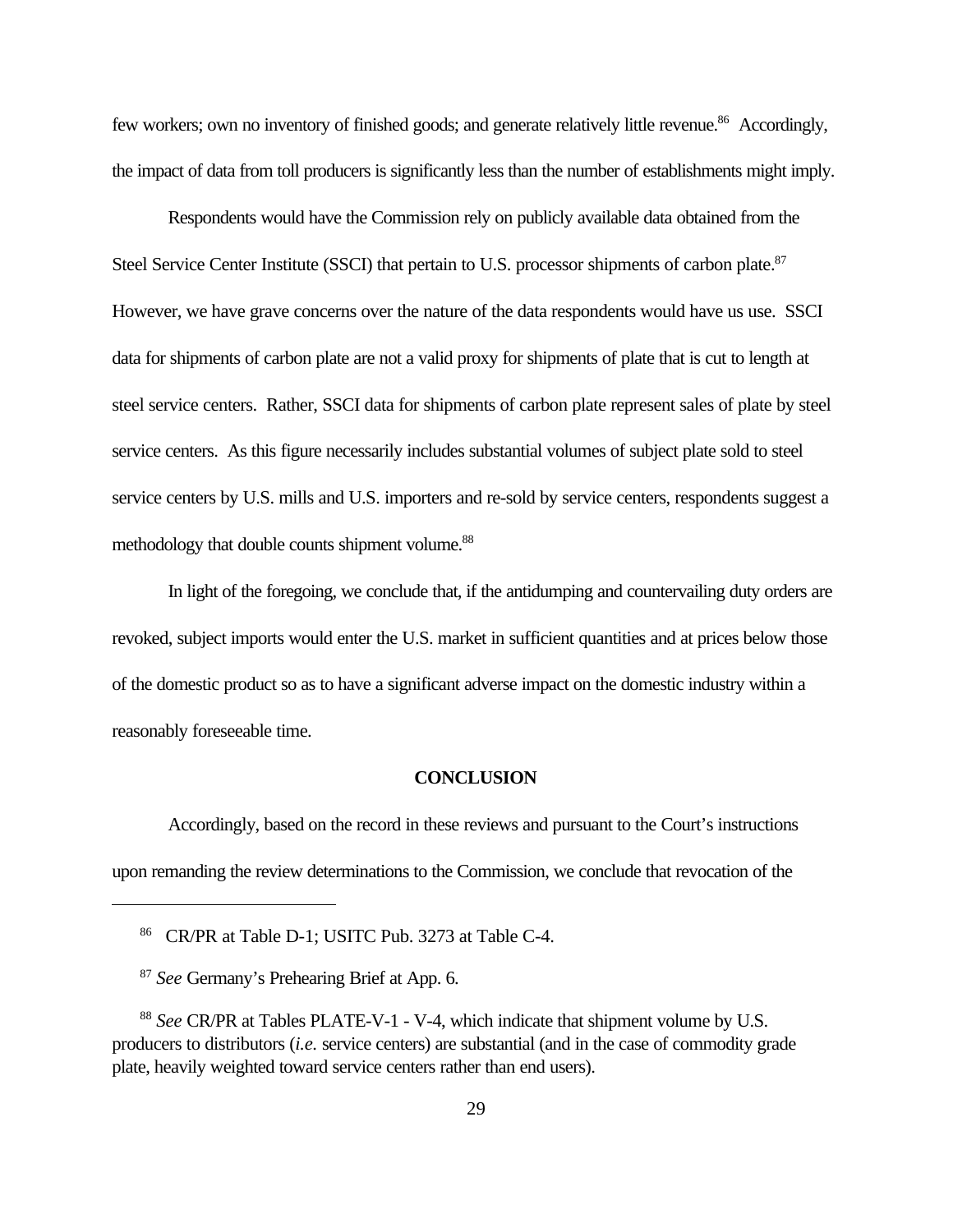few workers; own no inventory of finished goods; and generate relatively little revenue.<sup>86</sup> Accordingly, the impact of data from toll producers is significantly less than the number of establishments might imply.

Respondents would have the Commission rely on publicly available data obtained from the Steel Service Center Institute (SSCI) that pertain to U.S. processor shipments of carbon plate.<sup>87</sup> However, we have grave concerns over the nature of the data respondents would have us use. SSCI data for shipments of carbon plate are not a valid proxy for shipments of plate that is cut to length at steel service centers. Rather, SSCI data for shipments of carbon plate represent sales of plate by steel service centers. As this figure necessarily includes substantial volumes of subject plate sold to steel service centers by U.S. mills and U.S. importers and re-sold by service centers, respondents suggest a methodology that double counts shipment volume.<sup>88</sup>

In light of the foregoing, we conclude that, if the antidumping and countervailing duty orders are revoked, subject imports would enter the U.S. market in sufficient quantities and at prices below those of the domestic product so as to have a significant adverse impact on the domestic industry within a reasonably foreseeable time.

#### **CONCLUSION**

Accordingly, based on the record in these reviews and pursuant to the Court's instructions upon remanding the review determinations to the Commission, we conclude that revocation of the

<sup>86</sup> CR/PR at Table D-1; USITC Pub. 3273 at Table C-4.

<sup>87</sup> *See* Germany's Prehearing Brief at App. 6.

<sup>88</sup> *See* CR/PR at Tables PLATE-V-1 - V-4, which indicate that shipment volume by U.S. producers to distributors (*i.e.* service centers) are substantial (and in the case of commodity grade plate, heavily weighted toward service centers rather than end users).